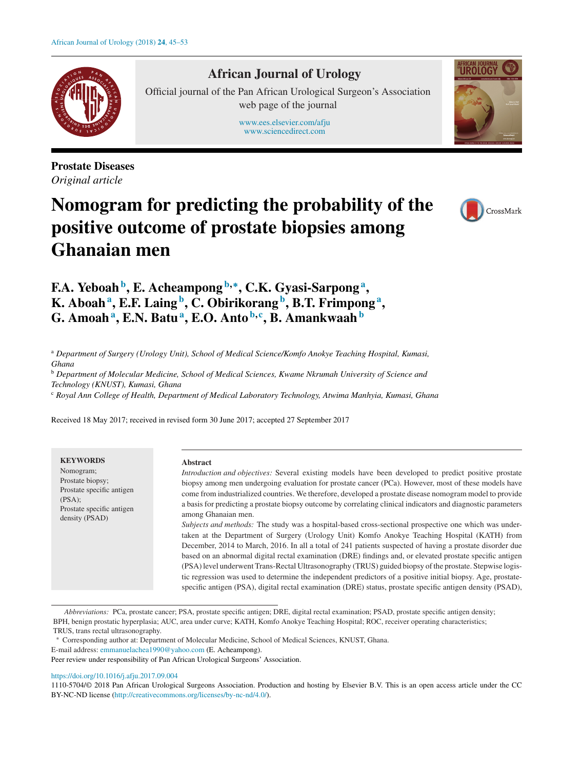

# **African Journal of Urology**

Official journal of the Pan African Urological Surgeon's Association web page of the journal

> [www.ees.elsevier.com/afju](http://www.ees.elsevier.com/afju) [www.sciencedirect.com](http://www.sciencedirect.com/science/journal/11105704)



**Prostate Diseases** *Original article*

# **Nomogram for predicting the probability of the positive outcome of prostate biopsies among Ghanaian men**



**F.A. Yeboah<sup>b</sup> , E. Acheampong <sup>b</sup>***,***<sup>∗</sup> , C.K. Gyasi-Sarpong<sup>a</sup> , K. Aboah<sup>a</sup> , E.F. Laing <sup>b</sup> , C. Obirikorang <sup>b</sup> , B.T. Frimpong<sup>a</sup> , G. Amoah<sup>a</sup> , E.N. Batu<sup>a</sup> , E.O. Anto <sup>b</sup>***,***<sup>c</sup> , B. Amankwaah<sup>b</sup>**

<sup>a</sup> *Department of Surgery (Urology Unit), School of Medical Science/Komfo Anokye Teaching Hospital, Kumasi, Ghana*

<sup>b</sup> *Department of Molecular Medicine, School of Medical Sciences, Kwame Nkrumah University of Science and*

*Technology (KNUST), Kumasi, Ghana*

<sup>c</sup> *Royal Ann College of Health, Department of Medical Laboratory Technology, Atwima Manhyia, Kumasi, Ghana*

Received 18 May 2017; received in revised form 30 June 2017; accepted 27 September 2017

| <b>KEYWORDS</b><br><b>Abstract</b><br>Nomogram;<br>Introduction and objectives: Several existing models have been developed to predict positive prostate<br>Prostate biopsy;<br>biopsy among men undergoing evaluation for prostate cancer (PCa). However, most of these models have<br>Prostate specific antigen<br>come from industrialized countries. We therefore, developed a prostate disease nomogram model to provide<br>(PSA);<br>a basis for predicting a prostate biopsy outcome by correlating clinical indicators and diagnostic parameters<br>Prostate specific antigen<br>among Ghanaian men.<br>density (PSAD)<br>Subjects and methods: The study was a hospital-based cross-sectional prospective one which was under-<br>taken at the Department of Surgery (Urology Unit) Komfo Anokye Teaching Hospital (KATH) from<br>December, 2014 to March, 2016. In all a total of 241 patients suspected of having a prostate disorder due<br>based on an abnormal digital rectal examination (DRE) findings and, or elevated prostate specific antigen<br>(PSA) level underwent Trans-Rectal Ultrasonography (TRUS) guided biopsy of the prostate. Stepwise logis-<br>tic regression was used to determine the independent predictors of a positive initial biopsy. Age, prostate-<br>specific antigen (PSA), digital rectal examination (DRE) status, prostate specific antigen density (PSAD), |
|-------------------------------------------------------------------------------------------------------------------------------------------------------------------------------------------------------------------------------------------------------------------------------------------------------------------------------------------------------------------------------------------------------------------------------------------------------------------------------------------------------------------------------------------------------------------------------------------------------------------------------------------------------------------------------------------------------------------------------------------------------------------------------------------------------------------------------------------------------------------------------------------------------------------------------------------------------------------------------------------------------------------------------------------------------------------------------------------------------------------------------------------------------------------------------------------------------------------------------------------------------------------------------------------------------------------------------------------------------------------------------------------------------------|
|-------------------------------------------------------------------------------------------------------------------------------------------------------------------------------------------------------------------------------------------------------------------------------------------------------------------------------------------------------------------------------------------------------------------------------------------------------------------------------------------------------------------------------------------------------------------------------------------------------------------------------------------------------------------------------------------------------------------------------------------------------------------------------------------------------------------------------------------------------------------------------------------------------------------------------------------------------------------------------------------------------------------------------------------------------------------------------------------------------------------------------------------------------------------------------------------------------------------------------------------------------------------------------------------------------------------------------------------------------------------------------------------------------------|

*Abbreviations:* PCa, prostate cancer; PSA, prostate specific antigen; DRE, digital rectal examination; PSAD, prostate specific antigen density; BPH, benign prostatic hyperplasia; AUC, area under curve; KATH, Komfo Anokye Teaching Hospital; ROC, receiver operating characteristics; TRUS, trans rectal ultrasonography.

∗ Corresponding author at: Department of Molecular Medicine, School of Medical Sciences, KNUST, Ghana.

E-mail address: [emmanuelachea1990@yahoo.com](mailto:emmanuelachea1990@yahoo.com) (E. Acheampong).

Peer review under responsibility of Pan African Urological Surgeons' Association.

## <https://doi.org/10.1016/j.afju.2017.09.004>

1110-5704/© 2018 Pan African Urological Surgeons Association. Production and hosting by Elsevier B.V. This is an open access article under the CC BY-NC-ND license [\(http://creativecommons.org/licenses/by-nc-nd/4.0/\)](http://creativecommons.org/licenses/by-nc-nd/4.0/).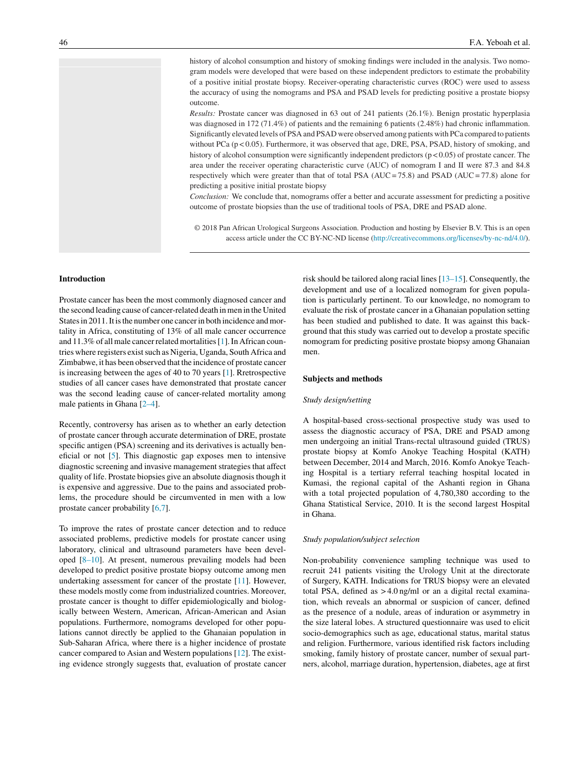history of alcohol consumption and history of smoking findings were included in the analysis. Two nomogram models were developed that were based on these independent predictors to estimate the probability of a positive initial prostate biopsy. Receiver-operating characteristic curves (ROC) were used to assess the accuracy of using the nomograms and PSA and PSAD levels for predicting positive a prostate biopsy outcome.

*Results:* Prostate cancer was diagnosed in 63 out of 241 patients (26.1%). Benign prostatic hyperplasia was diagnosed in 172 (71.4%) of patients and the remaining 6 patients (2.48%) had chronic inflammation. Significantly elevated levels of PSA and PSAD were observed among patients with PCa compared to patients without PCa (p < 0.05). Furthermore, it was observed that age, DRE, PSA, PSAD, history of smoking, and history of alcohol consumption were significantly independent predictors  $(p < 0.05)$  of prostate cancer. The area under the receiver operating characteristic curve (AUC) of nomogram I and II were 87.3 and 84.8 respectively which were greater than that of total PSA (AUC = 75.8) and PSAD (AUC = 77.8) alone for predicting a positive initial prostate biopsy

*Conclusion:* We conclude that, nomograms offer a better and accurate assessment for predicting a positive outcome of prostate biopsies than the use of traditional tools of PSA, DRE and PSAD alone.

© 2018 Pan African Urological Surgeons Association. Production and hosting by Elsevier B.V. This is an open access article under the CC BY-NC-ND license [\(http://creativecommons.org/licenses/by-nc-nd/4.0/](http://creativecommons.org/licenses/by-nc-nd/4.0/)).

# **Introduction**

Prostate cancer has been the most commonly diagnosed cancer and the second leading cause of cancer-related death in men in the United States in 2011. It is the number one cancer in both incidence and mortality in Africa, constituting of 13% of all male cancer occurrence and 11.3% of all male cancer related mortalities [[1\].](#page-7-0) In African countries where registers exist such as Nigeria, Uganda, South Africa and Zimbabwe, it has been observed that the incidence of prostate cancer is increasing between the ages of 40 to 70 years [\[1\].](#page-7-0) Rretrospective studies of all cancer cases have demonstrated that prostate cancer was the second leading cause of cancer-related mortality among male patients in Ghana [[2–4\].](#page-7-0)

Recently, controversy has arisen as to whether an early detection of prostate cancer through accurate determination of DRE, prostate specific antigen (PSA) screening and its derivatives is actually beneficial or not [[5\].](#page-7-0) This diagnostic gap exposes men to intensive diagnostic screening and invasive management strategies that affect quality of life. Prostate biopsies give an absolute diagnosisthough it is expensive and aggressive. Due to the pains and associated problems, the procedure should be circumvented in men with a low prostate cancer probability [[6,7\].](#page-7-0)

To improve the rates of prostate cancer detection and to reduce associated problems, predictive models for prostate cancer using laboratory, clinical and ultrasound parameters have been developed [\[8–10\].](#page-7-0) At present, numerous prevailing models had been developed to predict positive prostate biopsy outcome among men undertaking assessment for cancer of the prostate [[11\].](#page-7-0) However, these models mostly come from industrialized countries. Moreover, prostate cancer is thought to differ epidemiologically and biologically between Western, American, African-American and Asian populations. Furthermore, nomograms developed for other populations cannot directly be applied to the Ghanaian population in Sub-Saharan Africa, where there is a higher incidence of prostate cancer compared to Asian and Western populations [\[12\].](#page-7-0) The existing evidence strongly suggests that, evaluation of prostate cancer

risk should be tailored along racial lines [[13–15\].](#page-7-0) Consequently, the development and use of a localized nomogram for given population is particularly pertinent. To our knowledge, no nomogram to evaluate the risk of prostate cancer in a Ghanaian population setting has been studied and published to date. It was against this background that this study was carried out to develop a prostate specific nomogram for predicting positive prostate biopsy among Ghanaian men.

# **Subjects and methods**

#### *Study design/setting*

A hospital-based cross-sectional prospective study was used to assess the diagnostic accuracy of PSA, DRE and PSAD among men undergoing an initial Trans-rectal ultrasound guided (TRUS) prostate biopsy at Komfo Anokye Teaching Hospital (KATH) between December, 2014 and March, 2016. Komfo Anokye Teaching Hospital is a tertiary referral teaching hospital located in Kumasi, the regional capital of the Ashanti region in Ghana with a total projected population of 4,780,380 according to the Ghana Statistical Service, 2010. It is the second largest Hospital in Ghana.

#### *Study population/subject selection*

Non-probability convenience sampling technique was used to recruit 241 patients visiting the Urology Unit at the directorate of Surgery, KATH. Indications for TRUS biopsy were an elevated total PSA, defined as > 4.0 ng/ml or an a digital rectal examination, which reveals an abnormal or suspicion of cancer, defined as the presence of a nodule, areas of induration or asymmetry in the size lateral lobes. A structured questionnaire was used to elicit socio-demographics such as age, educational status, marital status and religion. Furthermore, various identified risk factors including smoking, family history of prostate cancer, number of sexual partners, alcohol, marriage duration, hypertension, diabetes, age at first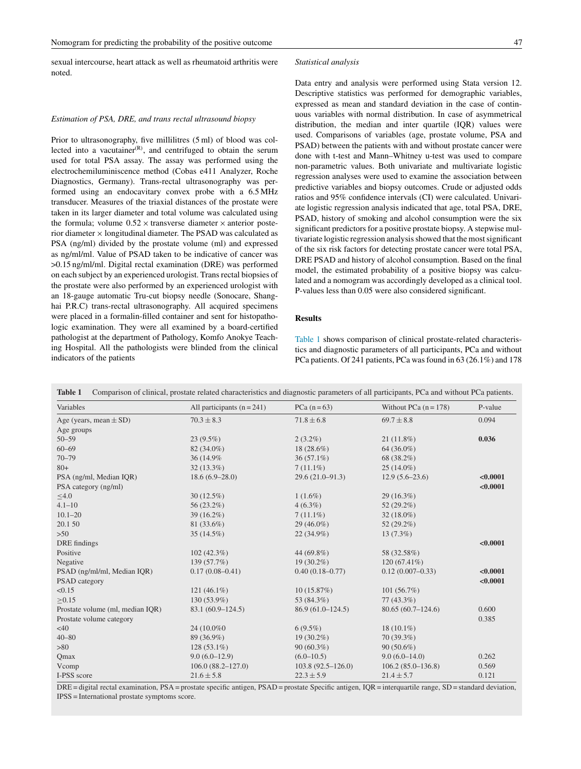sexual intercourse, heart attack as well as rheumatoid arthritis were noted.

#### *Statistical analysis*

# *Estimation of PSA, DRE, and trans rectal ultrasound biopsy*

Prior to ultrasonography, five millilitres (5 ml) of blood was collected into a vacutainer $(R)$ , and centrifuged to obtain the serum used for total PSA assay. The assay was performed using the electrochemiluminiscence method (Cobas e411 Analyzer, Roche Diagnostics, Germany). Trans-rectal ultrasonography was performed using an endocavitary convex probe with a 6.5 MHz transducer. Measures of the triaxial distances of the prostate were taken in its larger diameter and total volume was calculated using the formula; volume  $0.52 \times$  transverse diameter  $\times$  anterior posterior diameter  $\times$  longitudinal diameter. The PSAD was calculated as PSA (ng/ml) divided by the prostate volume (ml) and expressed as ng/ml/ml. Value of PSAD taken to be indicative of cancer was >0.15 ng/ml/ml. Digital rectal examination (DRE) was performed on each subject by an experienced urologist. Transrectal biopsies of the prostate were also performed by an experienced urologist with an 18-gauge automatic Tru-cut biopsy needle (Sonocare, Shanghai P.R.C) trans-rectal ultrasonography. All acquired specimens were placed in a formalin-filled container and sent for histopathologic examination. They were all examined by a board-certified pathologist at the department of Pathology, Komfo Anokye Teaching Hospital. All the pathologists were blinded from the clinical indicators of the patients

Data entry and analysis were performed using Stata version 12. Descriptive statistics was performed for demographic variables, expressed as mean and standard deviation in the case of continuous variables with normal distribution. In case of asymmetrical distribution, the median and inter quartile (IQR) values were used. Comparisons of variables (age, prostate volume, PSA and PSAD) between the patients with and without prostate cancer were done with t-test and Mann–Whitney u-test was used to compare non-parametric values. Both univariate and multivariate logistic regression analyses were used to examine the association between predictive variables and biopsy outcomes. Crude or adjusted odds ratios and 95% confidence intervals (CI) were calculated. Univariate logistic regression analysis indicated that age, total PSA, DRE, PSAD, history of smoking and alcohol consumption were the six significant predictors for a positive prostate biopsy. A stepwise multivariate logistic regression analysis showed that the most significant of the six risk factors for detecting prostate cancer were total PSA, DRE PSAD and history of alcohol consumption. Based on the final model, the estimated probability of a positive biopsy was calculated and a nomogram was accordingly developed as a clinical tool. P-values less than 0.05 were also considered significant.

# **Results**

Table 1 shows comparison of clinical prostate-related characteristics and diagnostic parameters of all participants, PCa and without PCa patients. Of 241 patients, PCa was found in 63 (26.1%) and 178

| Variables                        | All participants $(n = 241)$ | PCa $(n=63)$        | Without PCa $(n = 178)$ | P-value  |
|----------------------------------|------------------------------|---------------------|-------------------------|----------|
| Age (years, mean $\pm$ SD)       | $70.3 \pm 8.3$               | $71.8 \pm 6.8$      | $69.7 \pm 8.8$          | 0.094    |
| Age groups                       |                              |                     |                         |          |
| $50 - 59$                        | $23(9.5\%)$                  | $2(3.2\%)$          | $21(11.8\%)$            | 0.036    |
| $60 - 69$                        | 82 (34.0%)                   | $18(28.6\%)$        | 64 (36.0%)              |          |
| $70 - 79$                        | 36 (14.9%)                   | $36(57.1\%)$        | 68 (38.2%)              |          |
| $80+$                            | $32(13.3\%)$                 | $7(11.1\%)$         | $25(14.0\%)$            |          |
| PSA (ng/ml, Median IQR)          | $18.6(6.9-28.0)$             | $29.6(21.0-91.3)$   | $12.9(5.6-23.6)$        | < 0.0001 |
| PSA category (ng/ml)             |                              |                     |                         | < 0.0001 |
| $\leq 4.0$                       | $30(12.5\%)$                 | $1(1.6\%)$          | $29(16.3\%)$            |          |
| $4.1 - 10$                       | $56(23.2\%)$                 | $4(6.3\%)$          | $52(29.2\%)$            |          |
| $10.1 - 20$                      | $39(16.2\%)$                 | $7(11.1\%)$         | $32(18.0\%)$            |          |
| 20.1 50                          | 81 (33.6%)                   | $29(46.0\%)$        | $52(29.2\%)$            |          |
| $>50$                            | $35(14.5\%)$                 | $22(34.9\%)$        | $13(7.3\%)$             |          |
| DRE findings                     |                              |                     |                         | < 0.0001 |
| Positive                         | $102(42.3\%)$                | 44 $(69.8\%)$       | 58 (32.58%)             |          |
| Negative                         | 139 (57.7%)                  | $19(30.2\%)$        | $120(67.41\%)$          |          |
| PSAD (ng/ml/ml, Median IQR)      | $0.17(0.08 - 0.41)$          | $0.40(0.18 - 0.77)$ | $0.12(0.007 - 0.33)$    | < 0.0001 |
| <b>PSAD</b> category             |                              |                     |                         | < 0.0001 |
| < 0.15                           | $121(46.1\%)$                | 10(15.87%)          | 101(56.7%)              |          |
| $\geq 0.15$                      | 130 (53.9%)                  | 53 (84.3%)          | $77(43.3\%)$            |          |
| Prostate volume (ml, median IQR) | $83.1(60.9-124.5)$           | $86.9(61.0-124.5)$  | $80.65(60.7-124.6)$     | 0.600    |
| Prostate volume category         |                              |                     |                         | 0.385    |
| <40                              | 24 (10.0%)                   | $6(9.5\%)$          | $18(10.1\%)$            |          |
| $40 - 80$                        | 89 (36.9%)                   | $19(30.2\%)$        | $70(39.3\%)$            |          |
| >80                              | $128(53.1\%)$                | $90(60.3\%)$        | $90(50.6\%)$            |          |
| Qmax                             | $9.0(6.0-12.9)$              | $(6.0 - 10.5)$      | $9.0(6.0-14.0)$         | 0.262    |
| Vcomp                            | $106.0(88.2 - 127.0)$        | $103.8(92.5-126.0)$ | $106.2(85.0-136.8)$     | 0.569    |
| I-PSS score                      | $21.6 \pm 5.8$               | $22.3 \pm 5.9$      | $21.4 \pm 5.7$          | 0.121    |

**Table 1** Comparison of clinical, prostate related characteristics and diagnostic parameters of all participants, PCa and without PCa patients.

DRE = digital rectal examination, PSA = prostate specific antigen, PSAD = prostate Specific antigen, IQR = interquartile range, SD = standard deviation, IPSS = International prostate symptoms score.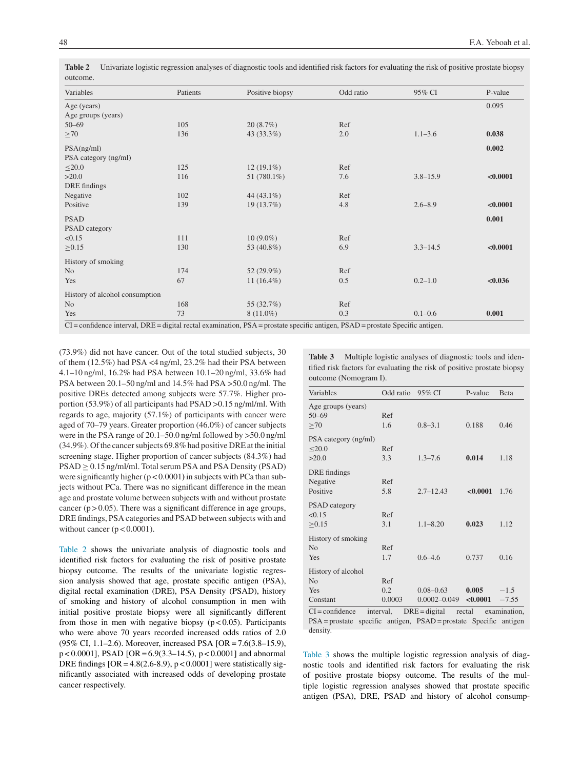| Variables                          | Patients | Positive biopsy | Odd ratio | 95% CI       | P-value  |
|------------------------------------|----------|-----------------|-----------|--------------|----------|
| Age (years)<br>Age groups (years)  |          |                 |           |              | 0.095    |
| $50 - 69$                          | 105      | 20(8.7%)        | Ref       |              |          |
| $\geq 70$                          | 136      | 43 (33.3%)      | 2.0       | $1.1 - 3.6$  | 0.038    |
| PSA(ng/ml)<br>PSA category (ng/ml) |          |                 |           |              | 0.002    |
| $\leq$ 20.0                        | 125      | $12(19.1\%)$    | Ref       |              |          |
| >20.0<br>DRE findings              | 116      | 51 (780.1%)     | 7.6       | $3.8 - 15.9$ | < 0.0001 |
| Negative                           | 102      | 44 $(43.1\%)$   | Ref       |              |          |
| Positive                           | 139      | 19 (13.7%)      | 4.8       | $2.6 - 8.9$  | < 0.0001 |
| <b>PSAD</b><br>PSAD category       |          |                 |           |              | 0.001    |
| < 0.15                             | 111      | $10(9.0\%)$     | Ref       |              |          |
| $\geq 0.15$                        | 130      | 53 (40.8%)      | 6.9       | $3.3 - 14.5$ | < 0.0001 |
| History of smoking                 |          |                 |           |              |          |
| N <sub>o</sub>                     | 174      | 52 (29.9%)      | Ref       |              |          |
| Yes                                | 67       | 11 $(16.4\%)$   | 0.5       | $0.2 - 1.0$  | < 0.036  |
| History of alcohol consumption     |          |                 |           |              |          |
| N <sub>o</sub>                     | 168      | 55 (32.7%)      | Ref       |              |          |
| Yes                                | 73       | $8(11.0\%)$     | 0.3       | $0.1 - 0.6$  | 0.001    |

**Table 2** Univariate logistic regression analyses of diagnostic tools and identified risk factors for evaluating the risk of positive prostate biopsy outcome.

CI = confidence interval, DRE = digital rectal examination, PSA = prostate specific antigen, PSAD = prostate Specific antigen.

(73.9%) did not have cancer. Out of the total studied subjects, 30 of them (12.5%) had PSA <4 ng/ml, 23.2% had their PSA between 4.1–10 ng/ml, 16.2% had PSA between 10.1–20 ng/ml, 33.6% had PSA between 20.1–50 ng/ml and 14.5% had PSA >50.0 ng/ml. The positive DREs detected among subjects were 57.7%. Higher proportion (53.9%) of all participants had PSAD >0.15 ng/ml/ml. With regards to age, majority (57.1%) of participants with cancer were aged of 70–79 years. Greater proportion (46.0%) of cancer subjects were in the PSA range of 20.1–50.0 ng/ml followed by >50.0 ng/ml  $(34.9\%)$ . Of the cancer subjects 69.8% had positive DRE at the initial screening stage. Higher proportion of cancer subjects (84.3%) had  $PSAD \geq 0.15$  ng/ml/ml. Total serum PSA and PSA Density (PSAD) were significantly higher (p < 0.0001**)** in subjects with PCa than subjects without PCa. There was no significant difference in the mean age and prostate volume between subjects with and without prostate cancer ( $p > 0.05$ ). There was a significant difference in age groups, DRE findings, PSA categories and PSAD between subjects with and without cancer  $(p < 0.0001)$ .

Table 2 shows the univariate analysis of diagnostic tools and identified risk factors for evaluating the risk of positive prostate biopsy outcome. The results of the univariate logistic regression analysis showed that age, prostate specific antigen (PSA), digital rectal examination (DRE), PSA Density (PSAD), history of smoking and history of alcohol consumption in men with initial positive prostate biopsy were all significantly different from those in men with negative biopsy  $(p < 0.05)$ . Participants who were above 70 years recorded increased odds ratios of 2.0 (95% CI, 1.1–2.6). Moreover, increased PSA [OR= 7.6(3.8–15.9), p < 0.0001], PSAD [OR= 6.9(3.3–14.5), p < 0.0001] and abnormal DRE findings  $[OR = 4.8(2.6-8.9), p < 0.0001]$  were statistically significantly associated with increased odds of developing prostate cancer respectively.

**Table 3** Multiple logistic analyses of diagnostic tools and identified risk factors for evaluating the risk of positive prostate biopsy outcome (Nomogram I).

| Variables                                                                                                                                             | Odd ratio            | 95% CI                            | P-value           | <b>B</b> eta      |
|-------------------------------------------------------------------------------------------------------------------------------------------------------|----------------------|-----------------------------------|-------------------|-------------------|
| Age groups (years)<br>$50 - 69$<br>>70                                                                                                                | Ref<br>1.6           | $0.8 - 3.1$                       | 0.188             | 0.46              |
| PSA category (ng/ml)<br>< 20.0<br>>20.0                                                                                                               | Ref<br>3.3           | $1.3 - 7.6$                       | 0.014             | 1.18              |
| DRE findings<br>Negative<br>Positive                                                                                                                  | Ref<br>5.8           | $2.7 - 12.43$                     | < 0.0001          | 1.76              |
| <b>PSAD</b> category<br>< 0.15<br>>0.15                                                                                                               | Ref<br>3.1           | $1.1 - 8.20$                      | 0.023             | 1.12              |
| History of smoking<br>N <sub>0</sub><br>Yes                                                                                                           | Ref<br>1.7           | $0.6 - 4.6$                       | 0.737             | 0.16              |
| History of alcohol<br>No<br>Yes<br>Constant                                                                                                           | Ref<br>0.2<br>0.0003 | $0.08 - 0.63$<br>$0.0002 - 0.049$ | 0.005<br>< 0.0001 | $-1.5$<br>$-7.55$ |
| $CI = confidence$<br>$interval$ , $DRE = digital$ rectal<br>examination,<br>PSA=prostate specific antigen, PSAD=prostate Specific antigen<br>density. |                      |                                   |                   |                   |

Table 3 shows the multiple logistic regression analysis of diagnostic tools and identified risk factors for evaluating the risk of positive prostate biopsy outcome. The results of the multiple logistic regression analyses showed that prostate specific antigen (PSA), DRE, PSAD and history of alcohol consump-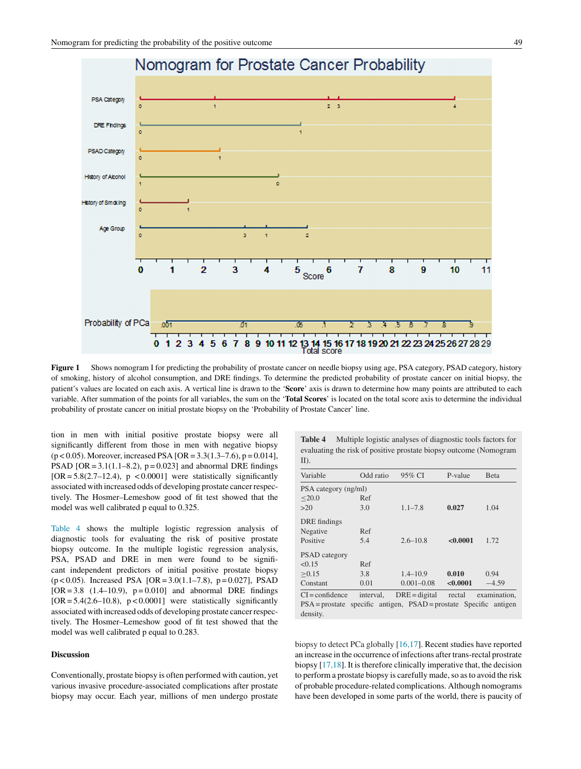<span id="page-4-0"></span>

**Figure 1** Shows nomogram I for predicting the probability of prostate cancer on needle biopsy using age, PSA category, PSAD category, history of smoking, history of alcohol consumption, and DRE findings. To determine the predicted probability of prostate cancer on initial biopsy, the patient's values are located on each axis. A vertical line is drawn to the '**Score**' axis is drawn to determine how many points are attributed to each variable. After summation of the points for all variables, the sum on the '**Total Scores**' is located on the total score axis to determine the individual probability of prostate cancer on initial prostate biopsy on the 'Probability of Prostate Cancer' line.

tion in men with initial positive prostate biopsy were all significantly different from those in men with negative biopsy  $(p < 0.05)$ . Moreover, increased PSA [OR = 3.3(1.3–7.6), p = 0.014], PSAD [OR =  $3.1(1.1-8.2)$ , p = 0.023] and abnormal DRE findings  $[OR = 5.8(2.7-12.4), p < 0.0001]$  were statistically significantly associated with increased odds of developing prostate cancerrespectively. The Hosmer–Lemeshow good of fit test showed that the model was well calibrated p equal to 0.325.

Table 4 shows the multiple logistic regression analysis of diagnostic tools for evaluating the risk of positive prostate biopsy outcome. In the multiple logistic regression analysis, PSA, PSAD and DRE in men were found to be significant independent predictors of initial positive prostate biopsy  $(p < 0.05)$ . Increased PSA [OR = 3.0(1.1–7.8), p = 0.027], PSAD  $[OR = 3.8 (1.4–10.9), p = 0.010]$  and abnormal DRE findings  $[OR = 5.4(2.6-10.8), p < 0.0001]$  were statistically significantly associated with increased odds of developing prostate cancerrespectively. The Hosmer–Lemeshow good of fit test showed that the model was well calibrated p equal to 0.283.

# **Discussion**

Conventionally, prostate biopsy is often performed with caution, yet various invasive procedure-associated complications after prostate biopsy may occur. Each year, millions of men undergo prostate

**Table 4** Multiple logistic analyses of diagnostic tools factors for evaluating the risk of positive prostate biopsy outcome (Nomogram  $ID.$ 

| Variable                                                                      | Odd ratio | 95% CI          | P-value  | <b>B</b> eta |  |  |
|-------------------------------------------------------------------------------|-----------|-----------------|----------|--------------|--|--|
| PSA category (ng/ml)                                                          |           |                 |          |              |  |  |
| < 20.0                                                                        | Ref       |                 |          |              |  |  |
| >20                                                                           | 3.0       | $1.1 - 7.8$     | 0.027    | 1.04         |  |  |
| DRE findings                                                                  |           |                 |          |              |  |  |
| Negative                                                                      | Ref       |                 |          |              |  |  |
| Positive                                                                      | 5.4       | $2.6 - 10.8$    | < 0.0001 | 1.72         |  |  |
| <b>PSAD</b> category                                                          |           |                 |          |              |  |  |
| < 0.15                                                                        | Ref       |                 |          |              |  |  |
| > 0.15                                                                        | 3.8       | $1.4 - 10.9$    | 0.010    | 0.94         |  |  |
| Constant                                                                      | 0.01      | $0.001 - 0.08$  | < 0.0001 | $-4.59$      |  |  |
| $CI = confidence$                                                             | interval. | $DRE = digital$ | rectal   | examination. |  |  |
| specific antigen, PSAD = prostate Specific antigen<br>$PSA = \text{prostate}$ |           |                 |          |              |  |  |
| density.                                                                      |           |                 |          |              |  |  |

biopsy to detect PCa globally [\[16,17\].](#page-7-0) Recent studies have reported an increase in the occurrence of infections after trans-rectal prostrate biopsy  $[17,18]$ . It is therefore clinically imperative that, the decision to perform a prostate biopsy is carefully made, so as to avoid the risk of probable procedure-related complications. Although nomograms have been developed in some parts of the world, there is paucity of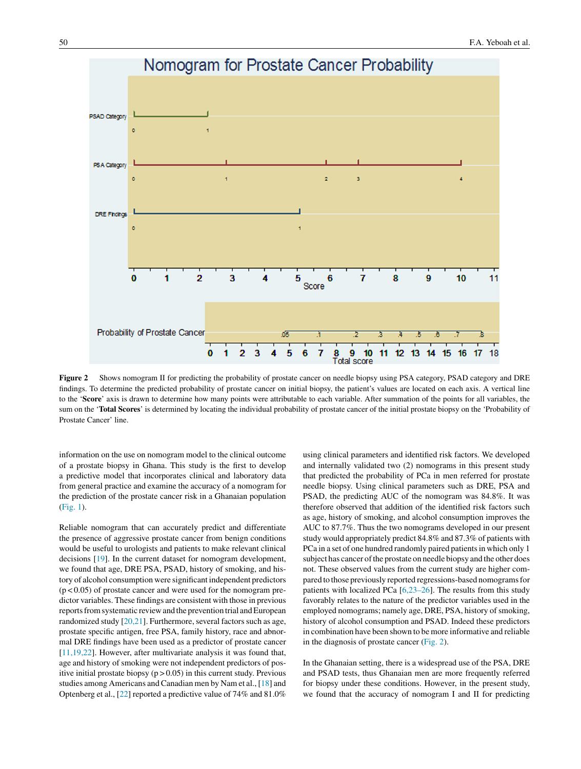

**Figure 2** Shows nomogram II for predicting the probability of prostate cancer on needle biopsy using PSA category, PSAD category and DRE findings. To determine the predicted probability of prostate cancer on initial biopsy, the patient's values are located on each axis. A vertical line to the '**Score**' axis is drawn to determine how many points were attributable to each variable. After summation of the points for all variables, the sum on the '**Total Scores**' is determined by locating the individual probability of prostate cancer of the initial prostate biopsy on the 'Probability of Prostate Cancer' line.

information on the use on nomogram model to the clinical outcome of a prostate biopsy in Ghana. This study is the first to develop a predictive model that incorporates clinical and laboratory data from general practice and examine the accuracy of a nomogram for the prediction of the prostate cancer risk in a Ghanaian population ([Fig.](#page-4-0) 1).

Reliable nomogram that can accurately predict and differentiate the presence of aggressive prostate cancer from benign conditions would be useful to urologists and patients to make relevant clinical decisions [\[19\].](#page-7-0) In the current dataset for nomogram development, we found that age, DRE PSA, PSAD, history of smoking, and history of alcohol consumption were significant independent predictors  $(p<0.05)$  of prostate cancer and were used for the nomogram predictor variables. These findings are consistent with those in previous reports from systematic review and the prevention trial and European randomized study [\[20,21\].](#page-7-0) Furthermore, several factors such as age, prostate specific antigen, free PSA, family history, race and abnormal DRE findings have been used as a predictor of prostate cancer [[11,19,22\].](#page-7-0) However, after multivariate analysis it was found that, age and history of smoking were not independent predictors of positive initial prostate biopsy  $(p > 0.05)$  in this current study. Previous studies among Americans and Canadian men by Nam et al., [[18\]](#page-7-0) and Optenberg et al., [[22\]](#page-7-0) reported a predictive value of 74% and 81.0%

using clinical parameters and identified risk factors. We developed and internally validated two (2) nomograms in this present study that predicted the probability of PCa in men referred for prostate needle biopsy. Using clinical parameters such as DRE, PSA and PSAD, the predicting AUC of the nomogram was 84.8%. It was therefore observed that addition of the identified risk factors such as age, history of smoking, and alcohol consumption improves the AUC to 87.7%. Thus the two nomograms developed in our present study would appropriately predict 84.8% and 87.3% of patients with PCa in a set of one hundred randomly paired patients in which only 1 subject has cancer of the prostate on needle biopsy and the other does not. These observed values from the current study are higher compared to those previously reported regressions-based nomograms for patients with localized PCa [\[6,23–26\].](#page-7-0) The results from this study favorably relates to the nature of the predictor variables used in the employed nomograms; namely age, DRE, PSA, history of smoking, history of alcohol consumption and PSAD. Indeed these predictors in combination have been shown to be more informative and reliable in the diagnosis of prostate cancer (Fig. 2).

In the Ghanaian setting, there is a widespread use of the PSA, DRE and PSAD tests, thus Ghanaian men are more frequently referred for biopsy under these conditions. However, in the present study, we found that the accuracy of nomogram I and II for predicting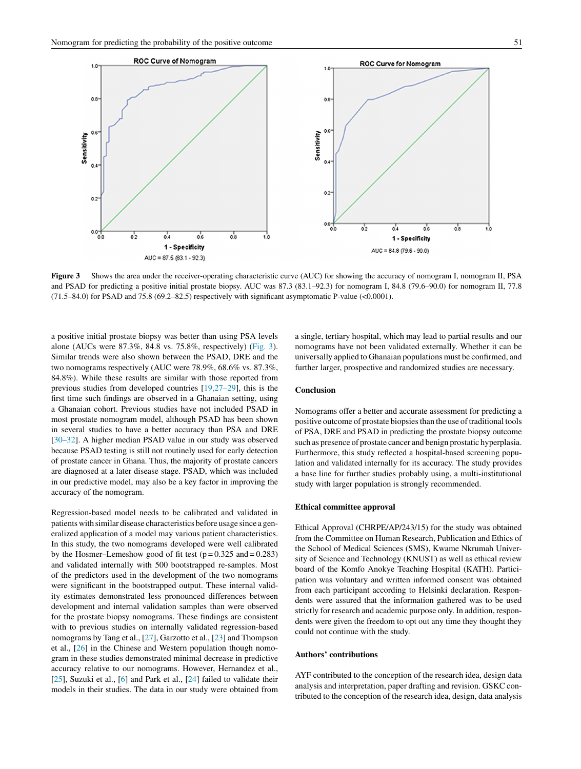

**Figure 3** Shows the area under the receiver-operating characteristic curve (AUC) for showing the accuracy of nomogram I, nomogram II, PSA and PSAD for predicting a positive initial prostate biopsy. AUC was 87.3 (83.1–92.3) for nomogram I, 84.8 (79.6–90.0) for nomogram II, 77.8 (71.5–84.0) for PSAD and 75.8 (69.2–82.5) respectively with significant asymptomatic P-value (<0.0001).

a positive initial prostate biopsy was better than using PSA levels alone (AUCs were 87.3%, 84.8 vs. 75.8%, respectively) (Fig. 3). Similar trends were also shown between the PSAD, DRE and the two nomograms respectively (AUC were 78.9%, 68.6% vs. 87.3%, 84.8%). While these results are similar with those reported from previous studies from developed countries [\[19,27–29\],](#page-7-0) this is the first time such findings are observed in a Ghanaian setting, using a Ghanaian cohort. Previous studies have not included PSAD in most prostate nomogram model, although PSAD has been shown in several studies to have a better accuracy than PSA and DRE [\[30–32\].](#page-8-0) A higher median PSAD value in our study was observed because PSAD testing is still not routinely used for early detection of prostate cancer in Ghana. Thus, the majority of prostate cancers are diagnosed at a later disease stage. PSAD, which was included in our predictive model, may also be a key factor in improving the accuracy of the nomogram.

Regression-based model needs to be calibrated and validated in patients with similar disease characteristics before usage since a generalized application of a model may various patient characteristics. In this study, the two nomograms developed were well calibrated by the Hosmer–Lemeshow good of fit test  $(p=0.325 \text{ and } =0.283)$ and validated internally with 500 bootstrapped re-samples. Most of the predictors used in the development of the two nomograms were significant in the bootstrapped output. These internal validity estimates demonstrated less pronounced differences between development and internal validation samples than were observed for the prostate biopsy nomograms. These findings are consistent with to previous studies on internally validated regression-based nomograms by Tang et al., [\[27\],](#page-7-0) Garzotto et al., [[23\]](#page-7-0) and Thompson et al., [\[26\]](#page-7-0) in the Chinese and Western population though nomogram in these studies demonstrated minimal decrease in predictive accuracy relative to our nomograms. However, Hernandez et al., [\[25\],](#page-7-0) Suzuki et al., [[6\]](#page-7-0) and Park et al., [[24\]](#page-7-0) failed to validate their models in their studies. The data in our study were obtained from a single, tertiary hospital, which may lead to partial results and our nomograms have not been validated externally. Whether it can be universally applied to Ghanaian populations must be confirmed, and further larger, prospective and randomized studies are necessary.

# **Conclusion**

Nomograms offer a better and accurate assessment for predicting a positive outcome of prostate biopsies than the use of traditional tools of PSA, DRE and PSAD in predicting the prostate biopsy outcome such as presence of prostate cancer and benign prostatic hyperplasia. Furthermore, this study reflected a hospital-based screening population and validated internally for its accuracy. The study provides a base line for further studies probably using, a multi-institutional study with larger population is strongly recommended.

#### **Ethical committee approval**

Ethical Approval (CHRPE/AP/243/15) for the study was obtained from the Committee on Human Research, Publication and Ethics of the School of Medical Sciences (SMS), Kwame Nkrumah University of Science and Technology (KNUST) as well as ethical review board of the Komfo Anokye Teaching Hospital (KATH). Participation was voluntary and written informed consent was obtained from each participant according to Helsinki declaration. Respondents were assured that the information gathered was to be used strictly for research and academic purpose only. In addition, respondents were given the freedom to opt out any time they thought they could not continue with the study.

# **Authors' contributions**

AYF contributed to the conception of the research idea, design data analysis and interpretation, paper drafting and revision. GSKC contributed to the conception of the research idea, design, data analysis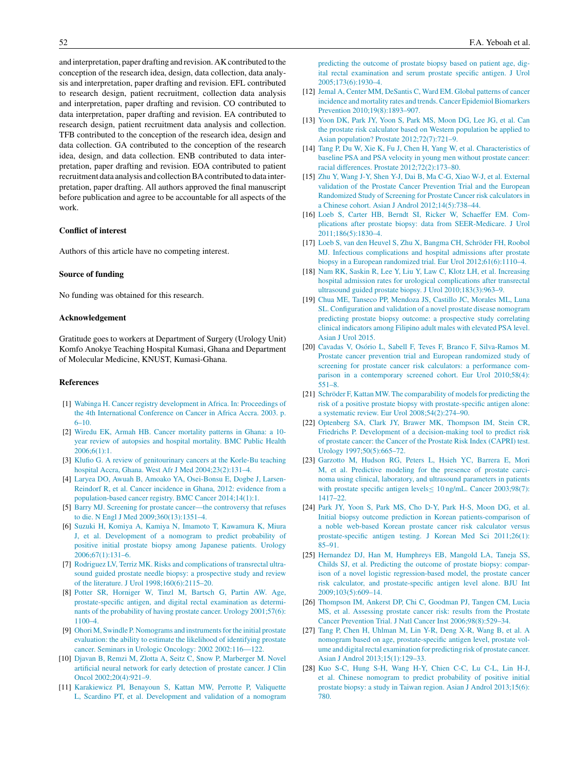<span id="page-7-0"></span>and interpretation, paper drafting and revision. AK contributed to the conception of the research idea, design, data collection, data analysis and interpretation, paper drafting and revision. EFL contributed to research design, patient recruitment, collection data analysis and interpretation, paper drafting and revision. CO contributed to data interpretation, paper drafting and revision. EA contributed to research design, patient recruitment data analysis and collection. TFB contributed to the conception of the research idea, design and data collection. GA contributed to the conception of the research idea, design, and data collection. ENB contributed to data interpretation, paper drafting and revision. EOA contributed to patient recruitment data analysis and collectionBA contributed to data interpretation, paper drafting. All authors approved the final manuscript before publication and agree to be accountable for all aspects of the work.

# **Conflict of interest**

Authors of this article have no competing interest.

# **Source of funding**

No funding was obtained for this research.

# **Acknowledgement**

Gratitude goes to workers at Department of Surgery (Urology Unit) Komfo Anokye Teaching Hospital Kumasi, Ghana and Department of Molecular Medicine, KNUST, Kumasi-Ghana.

# **References**

- [1] [Wabinga](http://refhub.elsevier.com/S1110-5704(17)30097-8/sbref0005) [H.](http://refhub.elsevier.com/S1110-5704(17)30097-8/sbref0005) [Cancer](http://refhub.elsevier.com/S1110-5704(17)30097-8/sbref0005) [registry](http://refhub.elsevier.com/S1110-5704(17)30097-8/sbref0005) [development](http://refhub.elsevier.com/S1110-5704(17)30097-8/sbref0005) [in](http://refhub.elsevier.com/S1110-5704(17)30097-8/sbref0005) [Africa.](http://refhub.elsevier.com/S1110-5704(17)30097-8/sbref0005) [In:](http://refhub.elsevier.com/S1110-5704(17)30097-8/sbref0005) [Proceedings](http://refhub.elsevier.com/S1110-5704(17)30097-8/sbref0005) [of](http://refhub.elsevier.com/S1110-5704(17)30097-8/sbref0005) [the](http://refhub.elsevier.com/S1110-5704(17)30097-8/sbref0005) [4th](http://refhub.elsevier.com/S1110-5704(17)30097-8/sbref0005) [International](http://refhub.elsevier.com/S1110-5704(17)30097-8/sbref0005) [Conference](http://refhub.elsevier.com/S1110-5704(17)30097-8/sbref0005) [on](http://refhub.elsevier.com/S1110-5704(17)30097-8/sbref0005) [Cancer](http://refhub.elsevier.com/S1110-5704(17)30097-8/sbref0005) [in](http://refhub.elsevier.com/S1110-5704(17)30097-8/sbref0005) [Africa](http://refhub.elsevier.com/S1110-5704(17)30097-8/sbref0005) [Accra.](http://refhub.elsevier.com/S1110-5704(17)30097-8/sbref0005) [2003.](http://refhub.elsevier.com/S1110-5704(17)30097-8/sbref0005) [p.](http://refhub.elsevier.com/S1110-5704(17)30097-8/sbref0005) [6–10.](http://refhub.elsevier.com/S1110-5704(17)30097-8/sbref0005)
- [2] [Wiredu](http://refhub.elsevier.com/S1110-5704(17)30097-8/sbref0010) [EK,](http://refhub.elsevier.com/S1110-5704(17)30097-8/sbref0010) [Armah](http://refhub.elsevier.com/S1110-5704(17)30097-8/sbref0010) [HB.](http://refhub.elsevier.com/S1110-5704(17)30097-8/sbref0010) [Cancer](http://refhub.elsevier.com/S1110-5704(17)30097-8/sbref0010) [mortality](http://refhub.elsevier.com/S1110-5704(17)30097-8/sbref0010) [patterns](http://refhub.elsevier.com/S1110-5704(17)30097-8/sbref0010) [in](http://refhub.elsevier.com/S1110-5704(17)30097-8/sbref0010) [Ghana:](http://refhub.elsevier.com/S1110-5704(17)30097-8/sbref0010) [a](http://refhub.elsevier.com/S1110-5704(17)30097-8/sbref0010) [10](http://refhub.elsevier.com/S1110-5704(17)30097-8/sbref0010) [year](http://refhub.elsevier.com/S1110-5704(17)30097-8/sbref0010) [review](http://refhub.elsevier.com/S1110-5704(17)30097-8/sbref0010) [of](http://refhub.elsevier.com/S1110-5704(17)30097-8/sbref0010) [autopsies](http://refhub.elsevier.com/S1110-5704(17)30097-8/sbref0010) [and](http://refhub.elsevier.com/S1110-5704(17)30097-8/sbref0010) [hospital](http://refhub.elsevier.com/S1110-5704(17)30097-8/sbref0010) [mortality.](http://refhub.elsevier.com/S1110-5704(17)30097-8/sbref0010) [BMC](http://refhub.elsevier.com/S1110-5704(17)30097-8/sbref0010) [Public](http://refhub.elsevier.com/S1110-5704(17)30097-8/sbref0010) [Health](http://refhub.elsevier.com/S1110-5704(17)30097-8/sbref0010) [2006;6\(1\):1.](http://refhub.elsevier.com/S1110-5704(17)30097-8/sbref0010)
- [3] [Klufio](http://refhub.elsevier.com/S1110-5704(17)30097-8/sbref0015) [G.](http://refhub.elsevier.com/S1110-5704(17)30097-8/sbref0015) [A](http://refhub.elsevier.com/S1110-5704(17)30097-8/sbref0015) [review](http://refhub.elsevier.com/S1110-5704(17)30097-8/sbref0015) [of](http://refhub.elsevier.com/S1110-5704(17)30097-8/sbref0015) [genitourinary](http://refhub.elsevier.com/S1110-5704(17)30097-8/sbref0015) [cancers](http://refhub.elsevier.com/S1110-5704(17)30097-8/sbref0015) [at](http://refhub.elsevier.com/S1110-5704(17)30097-8/sbref0015) [the](http://refhub.elsevier.com/S1110-5704(17)30097-8/sbref0015) [Korle-Bu](http://refhub.elsevier.com/S1110-5704(17)30097-8/sbref0015) [teaching](http://refhub.elsevier.com/S1110-5704(17)30097-8/sbref0015) [hospital](http://refhub.elsevier.com/S1110-5704(17)30097-8/sbref0015) [Accra,](http://refhub.elsevier.com/S1110-5704(17)30097-8/sbref0015) [Ghana.](http://refhub.elsevier.com/S1110-5704(17)30097-8/sbref0015) [West](http://refhub.elsevier.com/S1110-5704(17)30097-8/sbref0015) [Afr](http://refhub.elsevier.com/S1110-5704(17)30097-8/sbref0015) [J](http://refhub.elsevier.com/S1110-5704(17)30097-8/sbref0015) [Med](http://refhub.elsevier.com/S1110-5704(17)30097-8/sbref0015) [2004;23\(2\):131–4.](http://refhub.elsevier.com/S1110-5704(17)30097-8/sbref0015)
- [4] [Laryea](http://refhub.elsevier.com/S1110-5704(17)30097-8/sbref0020) [DO,](http://refhub.elsevier.com/S1110-5704(17)30097-8/sbref0020) [Awuah](http://refhub.elsevier.com/S1110-5704(17)30097-8/sbref0020) [B,](http://refhub.elsevier.com/S1110-5704(17)30097-8/sbref0020) [Amoako](http://refhub.elsevier.com/S1110-5704(17)30097-8/sbref0020) [YA,](http://refhub.elsevier.com/S1110-5704(17)30097-8/sbref0020) [Osei-Bonsu](http://refhub.elsevier.com/S1110-5704(17)30097-8/sbref0020) [E,](http://refhub.elsevier.com/S1110-5704(17)30097-8/sbref0020) [Dogbe](http://refhub.elsevier.com/S1110-5704(17)30097-8/sbref0020) [J,](http://refhub.elsevier.com/S1110-5704(17)30097-8/sbref0020) [Larsen-](http://refhub.elsevier.com/S1110-5704(17)30097-8/sbref0020)[Reindorf](http://refhub.elsevier.com/S1110-5704(17)30097-8/sbref0020) [R,](http://refhub.elsevier.com/S1110-5704(17)30097-8/sbref0020) [et](http://refhub.elsevier.com/S1110-5704(17)30097-8/sbref0020) [al.](http://refhub.elsevier.com/S1110-5704(17)30097-8/sbref0020) [Cancer](http://refhub.elsevier.com/S1110-5704(17)30097-8/sbref0020) [incidence](http://refhub.elsevier.com/S1110-5704(17)30097-8/sbref0020) [in](http://refhub.elsevier.com/S1110-5704(17)30097-8/sbref0020) [Ghana,](http://refhub.elsevier.com/S1110-5704(17)30097-8/sbref0020) [2012:](http://refhub.elsevier.com/S1110-5704(17)30097-8/sbref0020) [evidence](http://refhub.elsevier.com/S1110-5704(17)30097-8/sbref0020) [from](http://refhub.elsevier.com/S1110-5704(17)30097-8/sbref0020) [a](http://refhub.elsevier.com/S1110-5704(17)30097-8/sbref0020) [population-based](http://refhub.elsevier.com/S1110-5704(17)30097-8/sbref0020) [cancer](http://refhub.elsevier.com/S1110-5704(17)30097-8/sbref0020) [registry.](http://refhub.elsevier.com/S1110-5704(17)30097-8/sbref0020) [BMC](http://refhub.elsevier.com/S1110-5704(17)30097-8/sbref0020) [Cancer](http://refhub.elsevier.com/S1110-5704(17)30097-8/sbref0020) [2014;14\(1\):1.](http://refhub.elsevier.com/S1110-5704(17)30097-8/sbref0020)
- [5] [Barry](http://refhub.elsevier.com/S1110-5704(17)30097-8/sbref0025) [MJ.](http://refhub.elsevier.com/S1110-5704(17)30097-8/sbref0025) [Screening](http://refhub.elsevier.com/S1110-5704(17)30097-8/sbref0025) [for](http://refhub.elsevier.com/S1110-5704(17)30097-8/sbref0025) [prostate](http://refhub.elsevier.com/S1110-5704(17)30097-8/sbref0025) [cancer—the](http://refhub.elsevier.com/S1110-5704(17)30097-8/sbref0025) [controversy](http://refhub.elsevier.com/S1110-5704(17)30097-8/sbref0025) [that](http://refhub.elsevier.com/S1110-5704(17)30097-8/sbref0025) [refuses](http://refhub.elsevier.com/S1110-5704(17)30097-8/sbref0025) [to](http://refhub.elsevier.com/S1110-5704(17)30097-8/sbref0025) [die.](http://refhub.elsevier.com/S1110-5704(17)30097-8/sbref0025) [N](http://refhub.elsevier.com/S1110-5704(17)30097-8/sbref0025) [Engl](http://refhub.elsevier.com/S1110-5704(17)30097-8/sbref0025) [J](http://refhub.elsevier.com/S1110-5704(17)30097-8/sbref0025) [Med](http://refhub.elsevier.com/S1110-5704(17)30097-8/sbref0025) [2009;360\(13\):1351–4.](http://refhub.elsevier.com/S1110-5704(17)30097-8/sbref0025)
- [6] [Suzuki](http://refhub.elsevier.com/S1110-5704(17)30097-8/sbref0030) [H,](http://refhub.elsevier.com/S1110-5704(17)30097-8/sbref0030) [Komiya](http://refhub.elsevier.com/S1110-5704(17)30097-8/sbref0030) [A,](http://refhub.elsevier.com/S1110-5704(17)30097-8/sbref0030) [Kamiya](http://refhub.elsevier.com/S1110-5704(17)30097-8/sbref0030) [N,](http://refhub.elsevier.com/S1110-5704(17)30097-8/sbref0030) [Imamoto](http://refhub.elsevier.com/S1110-5704(17)30097-8/sbref0030) [T,](http://refhub.elsevier.com/S1110-5704(17)30097-8/sbref0030) [Kawamura](http://refhub.elsevier.com/S1110-5704(17)30097-8/sbref0030) [K,](http://refhub.elsevier.com/S1110-5704(17)30097-8/sbref0030) [Miura](http://refhub.elsevier.com/S1110-5704(17)30097-8/sbref0030) [J,](http://refhub.elsevier.com/S1110-5704(17)30097-8/sbref0030) [et](http://refhub.elsevier.com/S1110-5704(17)30097-8/sbref0030) [al.](http://refhub.elsevier.com/S1110-5704(17)30097-8/sbref0030) [Development](http://refhub.elsevier.com/S1110-5704(17)30097-8/sbref0030) [of](http://refhub.elsevier.com/S1110-5704(17)30097-8/sbref0030) [a](http://refhub.elsevier.com/S1110-5704(17)30097-8/sbref0030) [nomogram](http://refhub.elsevier.com/S1110-5704(17)30097-8/sbref0030) [to](http://refhub.elsevier.com/S1110-5704(17)30097-8/sbref0030) [predict](http://refhub.elsevier.com/S1110-5704(17)30097-8/sbref0030) [probability](http://refhub.elsevier.com/S1110-5704(17)30097-8/sbref0030) [of](http://refhub.elsevier.com/S1110-5704(17)30097-8/sbref0030) [positive](http://refhub.elsevier.com/S1110-5704(17)30097-8/sbref0030) [initial](http://refhub.elsevier.com/S1110-5704(17)30097-8/sbref0030) [prostate](http://refhub.elsevier.com/S1110-5704(17)30097-8/sbref0030) [biopsy](http://refhub.elsevier.com/S1110-5704(17)30097-8/sbref0030) [among](http://refhub.elsevier.com/S1110-5704(17)30097-8/sbref0030) [Japanese](http://refhub.elsevier.com/S1110-5704(17)30097-8/sbref0030) [patients.](http://refhub.elsevier.com/S1110-5704(17)30097-8/sbref0030) [Urology](http://refhub.elsevier.com/S1110-5704(17)30097-8/sbref0030) [2006;67\(1\):131–6.](http://refhub.elsevier.com/S1110-5704(17)30097-8/sbref0030)
- [7] [Rodriguez](http://refhub.elsevier.com/S1110-5704(17)30097-8/sbref0035) [LV,](http://refhub.elsevier.com/S1110-5704(17)30097-8/sbref0035) [Terriz](http://refhub.elsevier.com/S1110-5704(17)30097-8/sbref0035) [MK.](http://refhub.elsevier.com/S1110-5704(17)30097-8/sbref0035) [Risks](http://refhub.elsevier.com/S1110-5704(17)30097-8/sbref0035) [and](http://refhub.elsevier.com/S1110-5704(17)30097-8/sbref0035) [complications](http://refhub.elsevier.com/S1110-5704(17)30097-8/sbref0035) [of](http://refhub.elsevier.com/S1110-5704(17)30097-8/sbref0035) [transrectal](http://refhub.elsevier.com/S1110-5704(17)30097-8/sbref0035) [ultra](http://refhub.elsevier.com/S1110-5704(17)30097-8/sbref0035)[sound](http://refhub.elsevier.com/S1110-5704(17)30097-8/sbref0035) [guided](http://refhub.elsevier.com/S1110-5704(17)30097-8/sbref0035) [prostate](http://refhub.elsevier.com/S1110-5704(17)30097-8/sbref0035) [needle](http://refhub.elsevier.com/S1110-5704(17)30097-8/sbref0035) [biopsy:](http://refhub.elsevier.com/S1110-5704(17)30097-8/sbref0035) [a](http://refhub.elsevier.com/S1110-5704(17)30097-8/sbref0035) [prospective](http://refhub.elsevier.com/S1110-5704(17)30097-8/sbref0035) [study](http://refhub.elsevier.com/S1110-5704(17)30097-8/sbref0035) [and](http://refhub.elsevier.com/S1110-5704(17)30097-8/sbref0035) [review](http://refhub.elsevier.com/S1110-5704(17)30097-8/sbref0035) [of](http://refhub.elsevier.com/S1110-5704(17)30097-8/sbref0035) [the](http://refhub.elsevier.com/S1110-5704(17)30097-8/sbref0035) [literature.](http://refhub.elsevier.com/S1110-5704(17)30097-8/sbref0035) [J](http://refhub.elsevier.com/S1110-5704(17)30097-8/sbref0035) [Urol](http://refhub.elsevier.com/S1110-5704(17)30097-8/sbref0035) [1998;160\(6\):2115–20.](http://refhub.elsevier.com/S1110-5704(17)30097-8/sbref0035)
- [8] [Potter](http://refhub.elsevier.com/S1110-5704(17)30097-8/sbref0040) [SR,](http://refhub.elsevier.com/S1110-5704(17)30097-8/sbref0040) [Horniger](http://refhub.elsevier.com/S1110-5704(17)30097-8/sbref0040) [W,](http://refhub.elsevier.com/S1110-5704(17)30097-8/sbref0040) [Tinzl](http://refhub.elsevier.com/S1110-5704(17)30097-8/sbref0040) [M,](http://refhub.elsevier.com/S1110-5704(17)30097-8/sbref0040) [Bartsch](http://refhub.elsevier.com/S1110-5704(17)30097-8/sbref0040) [G,](http://refhub.elsevier.com/S1110-5704(17)30097-8/sbref0040) [Partin](http://refhub.elsevier.com/S1110-5704(17)30097-8/sbref0040) [AW.](http://refhub.elsevier.com/S1110-5704(17)30097-8/sbref0040) [Age,](http://refhub.elsevier.com/S1110-5704(17)30097-8/sbref0040) [prostate-specific](http://refhub.elsevier.com/S1110-5704(17)30097-8/sbref0040) [antigen,](http://refhub.elsevier.com/S1110-5704(17)30097-8/sbref0040) [and](http://refhub.elsevier.com/S1110-5704(17)30097-8/sbref0040) [digital](http://refhub.elsevier.com/S1110-5704(17)30097-8/sbref0040) [rectal](http://refhub.elsevier.com/S1110-5704(17)30097-8/sbref0040) [examination](http://refhub.elsevier.com/S1110-5704(17)30097-8/sbref0040) [as](http://refhub.elsevier.com/S1110-5704(17)30097-8/sbref0040) [determi](http://refhub.elsevier.com/S1110-5704(17)30097-8/sbref0040)[nants](http://refhub.elsevier.com/S1110-5704(17)30097-8/sbref0040) [of](http://refhub.elsevier.com/S1110-5704(17)30097-8/sbref0040) [the](http://refhub.elsevier.com/S1110-5704(17)30097-8/sbref0040) [probability](http://refhub.elsevier.com/S1110-5704(17)30097-8/sbref0040) [of](http://refhub.elsevier.com/S1110-5704(17)30097-8/sbref0040) [having](http://refhub.elsevier.com/S1110-5704(17)30097-8/sbref0040) [prostate](http://refhub.elsevier.com/S1110-5704(17)30097-8/sbref0040) [cancer.](http://refhub.elsevier.com/S1110-5704(17)30097-8/sbref0040) [Urology](http://refhub.elsevier.com/S1110-5704(17)30097-8/sbref0040) [2001;57\(6\):](http://refhub.elsevier.com/S1110-5704(17)30097-8/sbref0040) [1100–4.](http://refhub.elsevier.com/S1110-5704(17)30097-8/sbref0040)
- [9] [Ohori](http://refhub.elsevier.com/S1110-5704(17)30097-8/sbref0045) [M,](http://refhub.elsevier.com/S1110-5704(17)30097-8/sbref0045) [Swindle](http://refhub.elsevier.com/S1110-5704(17)30097-8/sbref0045) [P.](http://refhub.elsevier.com/S1110-5704(17)30097-8/sbref0045) [Nomograms](http://refhub.elsevier.com/S1110-5704(17)30097-8/sbref0045) [and](http://refhub.elsevier.com/S1110-5704(17)30097-8/sbref0045) instruments for the [initial](http://refhub.elsevier.com/S1110-5704(17)30097-8/sbref0045) [prostate](http://refhub.elsevier.com/S1110-5704(17)30097-8/sbref0045) [evaluation:](http://refhub.elsevier.com/S1110-5704(17)30097-8/sbref0045) [the](http://refhub.elsevier.com/S1110-5704(17)30097-8/sbref0045) [ability](http://refhub.elsevier.com/S1110-5704(17)30097-8/sbref0045) [to](http://refhub.elsevier.com/S1110-5704(17)30097-8/sbref0045) [estimate](http://refhub.elsevier.com/S1110-5704(17)30097-8/sbref0045) [the](http://refhub.elsevier.com/S1110-5704(17)30097-8/sbref0045) [likelihood](http://refhub.elsevier.com/S1110-5704(17)30097-8/sbref0045) [of](http://refhub.elsevier.com/S1110-5704(17)30097-8/sbref0045) [identifying](http://refhub.elsevier.com/S1110-5704(17)30097-8/sbref0045) [prostate](http://refhub.elsevier.com/S1110-5704(17)30097-8/sbref0045) [cancer.](http://refhub.elsevier.com/S1110-5704(17)30097-8/sbref0045) [Seminars](http://refhub.elsevier.com/S1110-5704(17)30097-8/sbref0045) [in](http://refhub.elsevier.com/S1110-5704(17)30097-8/sbref0045) [Urologic](http://refhub.elsevier.com/S1110-5704(17)30097-8/sbref0045) [Oncology:](http://refhub.elsevier.com/S1110-5704(17)30097-8/sbref0045) [2002](http://refhub.elsevier.com/S1110-5704(17)30097-8/sbref0045) [2002:116](http://refhub.elsevier.com/S1110-5704(17)30097-8/sbref0045)––[122.](http://refhub.elsevier.com/S1110-5704(17)30097-8/sbref0045)
- [10] [Djavan](http://refhub.elsevier.com/S1110-5704(17)30097-8/sbref0050) [B,](http://refhub.elsevier.com/S1110-5704(17)30097-8/sbref0050) [Remzi](http://refhub.elsevier.com/S1110-5704(17)30097-8/sbref0050) [M,](http://refhub.elsevier.com/S1110-5704(17)30097-8/sbref0050) [Zlotta](http://refhub.elsevier.com/S1110-5704(17)30097-8/sbref0050) [A,](http://refhub.elsevier.com/S1110-5704(17)30097-8/sbref0050) [Seitz](http://refhub.elsevier.com/S1110-5704(17)30097-8/sbref0050) [C,](http://refhub.elsevier.com/S1110-5704(17)30097-8/sbref0050) [Snow](http://refhub.elsevier.com/S1110-5704(17)30097-8/sbref0050) [P,](http://refhub.elsevier.com/S1110-5704(17)30097-8/sbref0050) [Marberger](http://refhub.elsevier.com/S1110-5704(17)30097-8/sbref0050) [M.](http://refhub.elsevier.com/S1110-5704(17)30097-8/sbref0050) [Novel](http://refhub.elsevier.com/S1110-5704(17)30097-8/sbref0050) [artificial](http://refhub.elsevier.com/S1110-5704(17)30097-8/sbref0050) [neural](http://refhub.elsevier.com/S1110-5704(17)30097-8/sbref0050) [network](http://refhub.elsevier.com/S1110-5704(17)30097-8/sbref0050) [for](http://refhub.elsevier.com/S1110-5704(17)30097-8/sbref0050) [early](http://refhub.elsevier.com/S1110-5704(17)30097-8/sbref0050) [detection](http://refhub.elsevier.com/S1110-5704(17)30097-8/sbref0050) [of](http://refhub.elsevier.com/S1110-5704(17)30097-8/sbref0050) [prostate](http://refhub.elsevier.com/S1110-5704(17)30097-8/sbref0050) [cancer.](http://refhub.elsevier.com/S1110-5704(17)30097-8/sbref0050) [J](http://refhub.elsevier.com/S1110-5704(17)30097-8/sbref0050) [Clin](http://refhub.elsevier.com/S1110-5704(17)30097-8/sbref0050) [Oncol](http://refhub.elsevier.com/S1110-5704(17)30097-8/sbref0050) [2002;20\(4\):921](http://refhub.elsevier.com/S1110-5704(17)30097-8/sbref0050)–[9.](http://refhub.elsevier.com/S1110-5704(17)30097-8/sbref0050)
- [11] [Karakiewicz](http://refhub.elsevier.com/S1110-5704(17)30097-8/sbref0055) [PI,](http://refhub.elsevier.com/S1110-5704(17)30097-8/sbref0055) [Benayoun](http://refhub.elsevier.com/S1110-5704(17)30097-8/sbref0055) [S,](http://refhub.elsevier.com/S1110-5704(17)30097-8/sbref0055) [Kattan](http://refhub.elsevier.com/S1110-5704(17)30097-8/sbref0055) [MW,](http://refhub.elsevier.com/S1110-5704(17)30097-8/sbref0055) [Perrotte](http://refhub.elsevier.com/S1110-5704(17)30097-8/sbref0055) [P,](http://refhub.elsevier.com/S1110-5704(17)30097-8/sbref0055) [Valiquette](http://refhub.elsevier.com/S1110-5704(17)30097-8/sbref0055) [L,](http://refhub.elsevier.com/S1110-5704(17)30097-8/sbref0055) [Scardino](http://refhub.elsevier.com/S1110-5704(17)30097-8/sbref0055) [PT,](http://refhub.elsevier.com/S1110-5704(17)30097-8/sbref0055) [et](http://refhub.elsevier.com/S1110-5704(17)30097-8/sbref0055) [al.](http://refhub.elsevier.com/S1110-5704(17)30097-8/sbref0055) [Development](http://refhub.elsevier.com/S1110-5704(17)30097-8/sbref0055) [and](http://refhub.elsevier.com/S1110-5704(17)30097-8/sbref0055) [validation](http://refhub.elsevier.com/S1110-5704(17)30097-8/sbref0055) [of](http://refhub.elsevier.com/S1110-5704(17)30097-8/sbref0055) [a](http://refhub.elsevier.com/S1110-5704(17)30097-8/sbref0055) [nomogram](http://refhub.elsevier.com/S1110-5704(17)30097-8/sbref0055)

[predicting](http://refhub.elsevier.com/S1110-5704(17)30097-8/sbref0055) [the](http://refhub.elsevier.com/S1110-5704(17)30097-8/sbref0055) [outcome](http://refhub.elsevier.com/S1110-5704(17)30097-8/sbref0055) [of](http://refhub.elsevier.com/S1110-5704(17)30097-8/sbref0055) [prostate](http://refhub.elsevier.com/S1110-5704(17)30097-8/sbref0055) [biopsy](http://refhub.elsevier.com/S1110-5704(17)30097-8/sbref0055) [based](http://refhub.elsevier.com/S1110-5704(17)30097-8/sbref0055) [on](http://refhub.elsevier.com/S1110-5704(17)30097-8/sbref0055) [patient](http://refhub.elsevier.com/S1110-5704(17)30097-8/sbref0055) [age,](http://refhub.elsevier.com/S1110-5704(17)30097-8/sbref0055) [dig](http://refhub.elsevier.com/S1110-5704(17)30097-8/sbref0055)[ital](http://refhub.elsevier.com/S1110-5704(17)30097-8/sbref0055) [rectal](http://refhub.elsevier.com/S1110-5704(17)30097-8/sbref0055) [examination](http://refhub.elsevier.com/S1110-5704(17)30097-8/sbref0055) [and](http://refhub.elsevier.com/S1110-5704(17)30097-8/sbref0055) [serum](http://refhub.elsevier.com/S1110-5704(17)30097-8/sbref0055) [prostate](http://refhub.elsevier.com/S1110-5704(17)30097-8/sbref0055) [specific](http://refhub.elsevier.com/S1110-5704(17)30097-8/sbref0055) [antigen.](http://refhub.elsevier.com/S1110-5704(17)30097-8/sbref0055) [J](http://refhub.elsevier.com/S1110-5704(17)30097-8/sbref0055) [Urol](http://refhub.elsevier.com/S1110-5704(17)30097-8/sbref0055) [2005;173\(6\):1930–4.](http://refhub.elsevier.com/S1110-5704(17)30097-8/sbref0055)

- [12] [Jemal](http://refhub.elsevier.com/S1110-5704(17)30097-8/sbref0060) [A,](http://refhub.elsevier.com/S1110-5704(17)30097-8/sbref0060) [Center](http://refhub.elsevier.com/S1110-5704(17)30097-8/sbref0060) [MM,](http://refhub.elsevier.com/S1110-5704(17)30097-8/sbref0060) [DeSantis](http://refhub.elsevier.com/S1110-5704(17)30097-8/sbref0060) [C,](http://refhub.elsevier.com/S1110-5704(17)30097-8/sbref0060) [Ward](http://refhub.elsevier.com/S1110-5704(17)30097-8/sbref0060) [EM.](http://refhub.elsevier.com/S1110-5704(17)30097-8/sbref0060) [Global](http://refhub.elsevier.com/S1110-5704(17)30097-8/sbref0060) [patterns](http://refhub.elsevier.com/S1110-5704(17)30097-8/sbref0060) [of](http://refhub.elsevier.com/S1110-5704(17)30097-8/sbref0060) [cancer](http://refhub.elsevier.com/S1110-5704(17)30097-8/sbref0060) [incidence](http://refhub.elsevier.com/S1110-5704(17)30097-8/sbref0060) [and](http://refhub.elsevier.com/S1110-5704(17)30097-8/sbref0060) [mortality](http://refhub.elsevier.com/S1110-5704(17)30097-8/sbref0060) [rates](http://refhub.elsevier.com/S1110-5704(17)30097-8/sbref0060) [and](http://refhub.elsevier.com/S1110-5704(17)30097-8/sbref0060) [trends.](http://refhub.elsevier.com/S1110-5704(17)30097-8/sbref0060) [Cancer](http://refhub.elsevier.com/S1110-5704(17)30097-8/sbref0060) [Epidemiol](http://refhub.elsevier.com/S1110-5704(17)30097-8/sbref0060) [Biomarkers](http://refhub.elsevier.com/S1110-5704(17)30097-8/sbref0060) [Prevention](http://refhub.elsevier.com/S1110-5704(17)30097-8/sbref0060) [2010;19\(8\):1893](http://refhub.elsevier.com/S1110-5704(17)30097-8/sbref0060)–[907.](http://refhub.elsevier.com/S1110-5704(17)30097-8/sbref0060)
- [13] [Yoon](http://refhub.elsevier.com/S1110-5704(17)30097-8/sbref0065) [DK,](http://refhub.elsevier.com/S1110-5704(17)30097-8/sbref0065) [Park](http://refhub.elsevier.com/S1110-5704(17)30097-8/sbref0065) [JY,](http://refhub.elsevier.com/S1110-5704(17)30097-8/sbref0065) [Yoon](http://refhub.elsevier.com/S1110-5704(17)30097-8/sbref0065) [S,](http://refhub.elsevier.com/S1110-5704(17)30097-8/sbref0065) [Park](http://refhub.elsevier.com/S1110-5704(17)30097-8/sbref0065) [MS,](http://refhub.elsevier.com/S1110-5704(17)30097-8/sbref0065) [Moon](http://refhub.elsevier.com/S1110-5704(17)30097-8/sbref0065) [DG,](http://refhub.elsevier.com/S1110-5704(17)30097-8/sbref0065) [Lee](http://refhub.elsevier.com/S1110-5704(17)30097-8/sbref0065) [JG,](http://refhub.elsevier.com/S1110-5704(17)30097-8/sbref0065) [et](http://refhub.elsevier.com/S1110-5704(17)30097-8/sbref0065) [al.](http://refhub.elsevier.com/S1110-5704(17)30097-8/sbref0065) [Can](http://refhub.elsevier.com/S1110-5704(17)30097-8/sbref0065) [the](http://refhub.elsevier.com/S1110-5704(17)30097-8/sbref0065) [prostate](http://refhub.elsevier.com/S1110-5704(17)30097-8/sbref0065) [risk](http://refhub.elsevier.com/S1110-5704(17)30097-8/sbref0065) [calculator](http://refhub.elsevier.com/S1110-5704(17)30097-8/sbref0065) [based](http://refhub.elsevier.com/S1110-5704(17)30097-8/sbref0065) [on](http://refhub.elsevier.com/S1110-5704(17)30097-8/sbref0065) [Western](http://refhub.elsevier.com/S1110-5704(17)30097-8/sbref0065) [population](http://refhub.elsevier.com/S1110-5704(17)30097-8/sbref0065) [be](http://refhub.elsevier.com/S1110-5704(17)30097-8/sbref0065) [applied](http://refhub.elsevier.com/S1110-5704(17)30097-8/sbref0065) [to](http://refhub.elsevier.com/S1110-5704(17)30097-8/sbref0065) [Asian](http://refhub.elsevier.com/S1110-5704(17)30097-8/sbref0065) [population?](http://refhub.elsevier.com/S1110-5704(17)30097-8/sbref0065) [Prostate](http://refhub.elsevier.com/S1110-5704(17)30097-8/sbref0065) [2012;72\(7\):721](http://refhub.elsevier.com/S1110-5704(17)30097-8/sbref0065)–[9.](http://refhub.elsevier.com/S1110-5704(17)30097-8/sbref0065)
- [14] [Tang](http://refhub.elsevier.com/S1110-5704(17)30097-8/sbref0070) [P,](http://refhub.elsevier.com/S1110-5704(17)30097-8/sbref0070) [Du](http://refhub.elsevier.com/S1110-5704(17)30097-8/sbref0070) [W,](http://refhub.elsevier.com/S1110-5704(17)30097-8/sbref0070) [Xie](http://refhub.elsevier.com/S1110-5704(17)30097-8/sbref0070) [K,](http://refhub.elsevier.com/S1110-5704(17)30097-8/sbref0070) [Fu](http://refhub.elsevier.com/S1110-5704(17)30097-8/sbref0070) [J,](http://refhub.elsevier.com/S1110-5704(17)30097-8/sbref0070) [Chen](http://refhub.elsevier.com/S1110-5704(17)30097-8/sbref0070) [H,](http://refhub.elsevier.com/S1110-5704(17)30097-8/sbref0070) [Yang](http://refhub.elsevier.com/S1110-5704(17)30097-8/sbref0070) [W,](http://refhub.elsevier.com/S1110-5704(17)30097-8/sbref0070) [et](http://refhub.elsevier.com/S1110-5704(17)30097-8/sbref0070) [al.](http://refhub.elsevier.com/S1110-5704(17)30097-8/sbref0070) [Characteristics](http://refhub.elsevier.com/S1110-5704(17)30097-8/sbref0070) [of](http://refhub.elsevier.com/S1110-5704(17)30097-8/sbref0070) [baseline](http://refhub.elsevier.com/S1110-5704(17)30097-8/sbref0070) [PSA](http://refhub.elsevier.com/S1110-5704(17)30097-8/sbref0070) [and](http://refhub.elsevier.com/S1110-5704(17)30097-8/sbref0070) [PSA](http://refhub.elsevier.com/S1110-5704(17)30097-8/sbref0070) [velocity](http://refhub.elsevier.com/S1110-5704(17)30097-8/sbref0070) [in](http://refhub.elsevier.com/S1110-5704(17)30097-8/sbref0070) [young](http://refhub.elsevier.com/S1110-5704(17)30097-8/sbref0070) [men](http://refhub.elsevier.com/S1110-5704(17)30097-8/sbref0070) [without](http://refhub.elsevier.com/S1110-5704(17)30097-8/sbref0070) [prostate](http://refhub.elsevier.com/S1110-5704(17)30097-8/sbref0070) [cancer:](http://refhub.elsevier.com/S1110-5704(17)30097-8/sbref0070) [racial](http://refhub.elsevier.com/S1110-5704(17)30097-8/sbref0070) [differences.](http://refhub.elsevier.com/S1110-5704(17)30097-8/sbref0070) [Prostate](http://refhub.elsevier.com/S1110-5704(17)30097-8/sbref0070) [2012;72\(2\):173](http://refhub.elsevier.com/S1110-5704(17)30097-8/sbref0070)–[80.](http://refhub.elsevier.com/S1110-5704(17)30097-8/sbref0070)
- [15] [Zhu](http://refhub.elsevier.com/S1110-5704(17)30097-8/sbref0075) [Y,](http://refhub.elsevier.com/S1110-5704(17)30097-8/sbref0075) [Wang](http://refhub.elsevier.com/S1110-5704(17)30097-8/sbref0075) [J-Y,](http://refhub.elsevier.com/S1110-5704(17)30097-8/sbref0075) [Shen](http://refhub.elsevier.com/S1110-5704(17)30097-8/sbref0075) [Y-J,](http://refhub.elsevier.com/S1110-5704(17)30097-8/sbref0075) [Dai](http://refhub.elsevier.com/S1110-5704(17)30097-8/sbref0075) [B,](http://refhub.elsevier.com/S1110-5704(17)30097-8/sbref0075) [Ma](http://refhub.elsevier.com/S1110-5704(17)30097-8/sbref0075) [C-G,](http://refhub.elsevier.com/S1110-5704(17)30097-8/sbref0075) [Xiao](http://refhub.elsevier.com/S1110-5704(17)30097-8/sbref0075) [W-J,](http://refhub.elsevier.com/S1110-5704(17)30097-8/sbref0075) [et](http://refhub.elsevier.com/S1110-5704(17)30097-8/sbref0075) [al.](http://refhub.elsevier.com/S1110-5704(17)30097-8/sbref0075) [External](http://refhub.elsevier.com/S1110-5704(17)30097-8/sbref0075) [validation](http://refhub.elsevier.com/S1110-5704(17)30097-8/sbref0075) [of](http://refhub.elsevier.com/S1110-5704(17)30097-8/sbref0075) [the](http://refhub.elsevier.com/S1110-5704(17)30097-8/sbref0075) [Prostate](http://refhub.elsevier.com/S1110-5704(17)30097-8/sbref0075) [Cancer](http://refhub.elsevier.com/S1110-5704(17)30097-8/sbref0075) [Prevention](http://refhub.elsevier.com/S1110-5704(17)30097-8/sbref0075) [Trial](http://refhub.elsevier.com/S1110-5704(17)30097-8/sbref0075) [and](http://refhub.elsevier.com/S1110-5704(17)30097-8/sbref0075) [the](http://refhub.elsevier.com/S1110-5704(17)30097-8/sbref0075) [European](http://refhub.elsevier.com/S1110-5704(17)30097-8/sbref0075) [Randomized](http://refhub.elsevier.com/S1110-5704(17)30097-8/sbref0075) [Study](http://refhub.elsevier.com/S1110-5704(17)30097-8/sbref0075) [of](http://refhub.elsevier.com/S1110-5704(17)30097-8/sbref0075) [Screening](http://refhub.elsevier.com/S1110-5704(17)30097-8/sbref0075) [for](http://refhub.elsevier.com/S1110-5704(17)30097-8/sbref0075) [Prostate](http://refhub.elsevier.com/S1110-5704(17)30097-8/sbref0075) [Cancer](http://refhub.elsevier.com/S1110-5704(17)30097-8/sbref0075) [risk](http://refhub.elsevier.com/S1110-5704(17)30097-8/sbref0075) [calculators](http://refhub.elsevier.com/S1110-5704(17)30097-8/sbref0075) [in](http://refhub.elsevier.com/S1110-5704(17)30097-8/sbref0075) [a](http://refhub.elsevier.com/S1110-5704(17)30097-8/sbref0075) [Chinese](http://refhub.elsevier.com/S1110-5704(17)30097-8/sbref0075) [cohort.](http://refhub.elsevier.com/S1110-5704(17)30097-8/sbref0075) [Asian](http://refhub.elsevier.com/S1110-5704(17)30097-8/sbref0075) [J](http://refhub.elsevier.com/S1110-5704(17)30097-8/sbref0075) [Androl](http://refhub.elsevier.com/S1110-5704(17)30097-8/sbref0075) [2012;14\(5\):738–44.](http://refhub.elsevier.com/S1110-5704(17)30097-8/sbref0075)
- [16] [Loeb](http://refhub.elsevier.com/S1110-5704(17)30097-8/sbref0080) [S,](http://refhub.elsevier.com/S1110-5704(17)30097-8/sbref0080) [Carter](http://refhub.elsevier.com/S1110-5704(17)30097-8/sbref0080) [HB,](http://refhub.elsevier.com/S1110-5704(17)30097-8/sbref0080) [Berndt](http://refhub.elsevier.com/S1110-5704(17)30097-8/sbref0080) [SI,](http://refhub.elsevier.com/S1110-5704(17)30097-8/sbref0080) [Ricker](http://refhub.elsevier.com/S1110-5704(17)30097-8/sbref0080) [W,](http://refhub.elsevier.com/S1110-5704(17)30097-8/sbref0080) [Schaeffer](http://refhub.elsevier.com/S1110-5704(17)30097-8/sbref0080) [EM.](http://refhub.elsevier.com/S1110-5704(17)30097-8/sbref0080) [Com](http://refhub.elsevier.com/S1110-5704(17)30097-8/sbref0080)[plications](http://refhub.elsevier.com/S1110-5704(17)30097-8/sbref0080) [after](http://refhub.elsevier.com/S1110-5704(17)30097-8/sbref0080) [prostate](http://refhub.elsevier.com/S1110-5704(17)30097-8/sbref0080) [biopsy:](http://refhub.elsevier.com/S1110-5704(17)30097-8/sbref0080) [data](http://refhub.elsevier.com/S1110-5704(17)30097-8/sbref0080) [from](http://refhub.elsevier.com/S1110-5704(17)30097-8/sbref0080) [SEER-Medicare.](http://refhub.elsevier.com/S1110-5704(17)30097-8/sbref0080) [J](http://refhub.elsevier.com/S1110-5704(17)30097-8/sbref0080) [Urol](http://refhub.elsevier.com/S1110-5704(17)30097-8/sbref0080) [2011;186\(5\):1830](http://refhub.elsevier.com/S1110-5704(17)30097-8/sbref0080)–[4.](http://refhub.elsevier.com/S1110-5704(17)30097-8/sbref0080)
- [17] [Loeb](http://refhub.elsevier.com/S1110-5704(17)30097-8/sbref0085) [S,](http://refhub.elsevier.com/S1110-5704(17)30097-8/sbref0085) [van](http://refhub.elsevier.com/S1110-5704(17)30097-8/sbref0085) [den](http://refhub.elsevier.com/S1110-5704(17)30097-8/sbref0085) [Heuvel](http://refhub.elsevier.com/S1110-5704(17)30097-8/sbref0085) [S,](http://refhub.elsevier.com/S1110-5704(17)30097-8/sbref0085) [Zhu](http://refhub.elsevier.com/S1110-5704(17)30097-8/sbref0085) [X,](http://refhub.elsevier.com/S1110-5704(17)30097-8/sbref0085) [Bangma](http://refhub.elsevier.com/S1110-5704(17)30097-8/sbref0085) [CH,](http://refhub.elsevier.com/S1110-5704(17)30097-8/sbref0085) [Schröder](http://refhub.elsevier.com/S1110-5704(17)30097-8/sbref0085) [FH,](http://refhub.elsevier.com/S1110-5704(17)30097-8/sbref0085) [Roobol](http://refhub.elsevier.com/S1110-5704(17)30097-8/sbref0085) [MJ.](http://refhub.elsevier.com/S1110-5704(17)30097-8/sbref0085) [Infectious](http://refhub.elsevier.com/S1110-5704(17)30097-8/sbref0085) [complications](http://refhub.elsevier.com/S1110-5704(17)30097-8/sbref0085) [and](http://refhub.elsevier.com/S1110-5704(17)30097-8/sbref0085) [hospital](http://refhub.elsevier.com/S1110-5704(17)30097-8/sbref0085) [admissions](http://refhub.elsevier.com/S1110-5704(17)30097-8/sbref0085) [after](http://refhub.elsevier.com/S1110-5704(17)30097-8/sbref0085) [prostate](http://refhub.elsevier.com/S1110-5704(17)30097-8/sbref0085) [biopsy](http://refhub.elsevier.com/S1110-5704(17)30097-8/sbref0085) [in](http://refhub.elsevier.com/S1110-5704(17)30097-8/sbref0085) [a](http://refhub.elsevier.com/S1110-5704(17)30097-8/sbref0085) [European](http://refhub.elsevier.com/S1110-5704(17)30097-8/sbref0085) [randomized](http://refhub.elsevier.com/S1110-5704(17)30097-8/sbref0085) [trial.](http://refhub.elsevier.com/S1110-5704(17)30097-8/sbref0085) [Eur](http://refhub.elsevier.com/S1110-5704(17)30097-8/sbref0085) [Urol](http://refhub.elsevier.com/S1110-5704(17)30097-8/sbref0085) [2012;61\(6\):1110–4.](http://refhub.elsevier.com/S1110-5704(17)30097-8/sbref0085)
- [18] [Nam](http://refhub.elsevier.com/S1110-5704(17)30097-8/sbref0090) [RK,](http://refhub.elsevier.com/S1110-5704(17)30097-8/sbref0090) [Saskin](http://refhub.elsevier.com/S1110-5704(17)30097-8/sbref0090) [R,](http://refhub.elsevier.com/S1110-5704(17)30097-8/sbref0090) [Lee](http://refhub.elsevier.com/S1110-5704(17)30097-8/sbref0090) [Y,](http://refhub.elsevier.com/S1110-5704(17)30097-8/sbref0090) [Liu](http://refhub.elsevier.com/S1110-5704(17)30097-8/sbref0090) [Y,](http://refhub.elsevier.com/S1110-5704(17)30097-8/sbref0090) [Law](http://refhub.elsevier.com/S1110-5704(17)30097-8/sbref0090) [C,](http://refhub.elsevier.com/S1110-5704(17)30097-8/sbref0090) [Klotz](http://refhub.elsevier.com/S1110-5704(17)30097-8/sbref0090) [LH,](http://refhub.elsevier.com/S1110-5704(17)30097-8/sbref0090) [et](http://refhub.elsevier.com/S1110-5704(17)30097-8/sbref0090) [al.](http://refhub.elsevier.com/S1110-5704(17)30097-8/sbref0090) [Increasing](http://refhub.elsevier.com/S1110-5704(17)30097-8/sbref0090) [hospital](http://refhub.elsevier.com/S1110-5704(17)30097-8/sbref0090) [admission](http://refhub.elsevier.com/S1110-5704(17)30097-8/sbref0090) [rates](http://refhub.elsevier.com/S1110-5704(17)30097-8/sbref0090) [for](http://refhub.elsevier.com/S1110-5704(17)30097-8/sbref0090) [urological](http://refhub.elsevier.com/S1110-5704(17)30097-8/sbref0090) [complications](http://refhub.elsevier.com/S1110-5704(17)30097-8/sbref0090) [after](http://refhub.elsevier.com/S1110-5704(17)30097-8/sbref0090) [transrectal](http://refhub.elsevier.com/S1110-5704(17)30097-8/sbref0090) [ultrasound](http://refhub.elsevier.com/S1110-5704(17)30097-8/sbref0090) [guided](http://refhub.elsevier.com/S1110-5704(17)30097-8/sbref0090) [prostate](http://refhub.elsevier.com/S1110-5704(17)30097-8/sbref0090) [biopsy.](http://refhub.elsevier.com/S1110-5704(17)30097-8/sbref0090) [J](http://refhub.elsevier.com/S1110-5704(17)30097-8/sbref0090) [Urol](http://refhub.elsevier.com/S1110-5704(17)30097-8/sbref0090) [2010;183\(3\):963–9.](http://refhub.elsevier.com/S1110-5704(17)30097-8/sbref0090)
- [19] [Chua](http://refhub.elsevier.com/S1110-5704(17)30097-8/sbref0095) [ME,](http://refhub.elsevier.com/S1110-5704(17)30097-8/sbref0095) [Tanseco](http://refhub.elsevier.com/S1110-5704(17)30097-8/sbref0095) [PP,](http://refhub.elsevier.com/S1110-5704(17)30097-8/sbref0095) [Mendoza](http://refhub.elsevier.com/S1110-5704(17)30097-8/sbref0095) [JS,](http://refhub.elsevier.com/S1110-5704(17)30097-8/sbref0095) [Castillo](http://refhub.elsevier.com/S1110-5704(17)30097-8/sbref0095) [JC,](http://refhub.elsevier.com/S1110-5704(17)30097-8/sbref0095) [Morales](http://refhub.elsevier.com/S1110-5704(17)30097-8/sbref0095) [ML,](http://refhub.elsevier.com/S1110-5704(17)30097-8/sbref0095) [Luna](http://refhub.elsevier.com/S1110-5704(17)30097-8/sbref0095) [SL.](http://refhub.elsevier.com/S1110-5704(17)30097-8/sbref0095) [Configuration](http://refhub.elsevier.com/S1110-5704(17)30097-8/sbref0095) [and](http://refhub.elsevier.com/S1110-5704(17)30097-8/sbref0095) [validation](http://refhub.elsevier.com/S1110-5704(17)30097-8/sbref0095) [of](http://refhub.elsevier.com/S1110-5704(17)30097-8/sbref0095) [a](http://refhub.elsevier.com/S1110-5704(17)30097-8/sbref0095) [novel](http://refhub.elsevier.com/S1110-5704(17)30097-8/sbref0095) [prostate](http://refhub.elsevier.com/S1110-5704(17)30097-8/sbref0095) [disease](http://refhub.elsevier.com/S1110-5704(17)30097-8/sbref0095) [nomogram](http://refhub.elsevier.com/S1110-5704(17)30097-8/sbref0095) [predicting](http://refhub.elsevier.com/S1110-5704(17)30097-8/sbref0095) [prostate](http://refhub.elsevier.com/S1110-5704(17)30097-8/sbref0095) [biopsy](http://refhub.elsevier.com/S1110-5704(17)30097-8/sbref0095) [outcome:](http://refhub.elsevier.com/S1110-5704(17)30097-8/sbref0095) [a](http://refhub.elsevier.com/S1110-5704(17)30097-8/sbref0095) [prospective](http://refhub.elsevier.com/S1110-5704(17)30097-8/sbref0095) [study](http://refhub.elsevier.com/S1110-5704(17)30097-8/sbref0095) [correlating](http://refhub.elsevier.com/S1110-5704(17)30097-8/sbref0095) [clinical](http://refhub.elsevier.com/S1110-5704(17)30097-8/sbref0095) [indicators](http://refhub.elsevier.com/S1110-5704(17)30097-8/sbref0095) [among](http://refhub.elsevier.com/S1110-5704(17)30097-8/sbref0095) [Filipino](http://refhub.elsevier.com/S1110-5704(17)30097-8/sbref0095) [adult](http://refhub.elsevier.com/S1110-5704(17)30097-8/sbref0095) [males](http://refhub.elsevier.com/S1110-5704(17)30097-8/sbref0095) [with](http://refhub.elsevier.com/S1110-5704(17)30097-8/sbref0095) [elevated](http://refhub.elsevier.com/S1110-5704(17)30097-8/sbref0095) [PSA](http://refhub.elsevier.com/S1110-5704(17)30097-8/sbref0095) [level.](http://refhub.elsevier.com/S1110-5704(17)30097-8/sbref0095) [Asian](http://refhub.elsevier.com/S1110-5704(17)30097-8/sbref0095) [J](http://refhub.elsevier.com/S1110-5704(17)30097-8/sbref0095) [Urol](http://refhub.elsevier.com/S1110-5704(17)30097-8/sbref0095) [2015.](http://refhub.elsevier.com/S1110-5704(17)30097-8/sbref0095)
- [20] [Cavadas](http://refhub.elsevier.com/S1110-5704(17)30097-8/sbref0100) [V,](http://refhub.elsevier.com/S1110-5704(17)30097-8/sbref0100) [Osório](http://refhub.elsevier.com/S1110-5704(17)30097-8/sbref0100) [L,](http://refhub.elsevier.com/S1110-5704(17)30097-8/sbref0100) [Sabell](http://refhub.elsevier.com/S1110-5704(17)30097-8/sbref0100) [F,](http://refhub.elsevier.com/S1110-5704(17)30097-8/sbref0100) [Teves](http://refhub.elsevier.com/S1110-5704(17)30097-8/sbref0100) [F,](http://refhub.elsevier.com/S1110-5704(17)30097-8/sbref0100) [Branco](http://refhub.elsevier.com/S1110-5704(17)30097-8/sbref0100) [F,](http://refhub.elsevier.com/S1110-5704(17)30097-8/sbref0100) [Silva-Ramos](http://refhub.elsevier.com/S1110-5704(17)30097-8/sbref0100) [M.](http://refhub.elsevier.com/S1110-5704(17)30097-8/sbref0100) [Prostate](http://refhub.elsevier.com/S1110-5704(17)30097-8/sbref0100) [cancer](http://refhub.elsevier.com/S1110-5704(17)30097-8/sbref0100) [prevention](http://refhub.elsevier.com/S1110-5704(17)30097-8/sbref0100) [trial](http://refhub.elsevier.com/S1110-5704(17)30097-8/sbref0100) [and](http://refhub.elsevier.com/S1110-5704(17)30097-8/sbref0100) [European](http://refhub.elsevier.com/S1110-5704(17)30097-8/sbref0100) [randomized](http://refhub.elsevier.com/S1110-5704(17)30097-8/sbref0100) [study](http://refhub.elsevier.com/S1110-5704(17)30097-8/sbref0100) [of](http://refhub.elsevier.com/S1110-5704(17)30097-8/sbref0100) [screening](http://refhub.elsevier.com/S1110-5704(17)30097-8/sbref0100) [for](http://refhub.elsevier.com/S1110-5704(17)30097-8/sbref0100) [prostate](http://refhub.elsevier.com/S1110-5704(17)30097-8/sbref0100) [cancer](http://refhub.elsevier.com/S1110-5704(17)30097-8/sbref0100) [risk](http://refhub.elsevier.com/S1110-5704(17)30097-8/sbref0100) [calculators:](http://refhub.elsevier.com/S1110-5704(17)30097-8/sbref0100) [a](http://refhub.elsevier.com/S1110-5704(17)30097-8/sbref0100) [performance](http://refhub.elsevier.com/S1110-5704(17)30097-8/sbref0100) [com](http://refhub.elsevier.com/S1110-5704(17)30097-8/sbref0100)[parison](http://refhub.elsevier.com/S1110-5704(17)30097-8/sbref0100) [in](http://refhub.elsevier.com/S1110-5704(17)30097-8/sbref0100) [a](http://refhub.elsevier.com/S1110-5704(17)30097-8/sbref0100) [contemporary](http://refhub.elsevier.com/S1110-5704(17)30097-8/sbref0100) [screened](http://refhub.elsevier.com/S1110-5704(17)30097-8/sbref0100) [cohort.](http://refhub.elsevier.com/S1110-5704(17)30097-8/sbref0100) [Eur](http://refhub.elsevier.com/S1110-5704(17)30097-8/sbref0100) [Urol](http://refhub.elsevier.com/S1110-5704(17)30097-8/sbref0100) [2010;58\(4\):](http://refhub.elsevier.com/S1110-5704(17)30097-8/sbref0100) [551](http://refhub.elsevier.com/S1110-5704(17)30097-8/sbref0100)–[8.](http://refhub.elsevier.com/S1110-5704(17)30097-8/sbref0100)
- [21] [Schröder](http://refhub.elsevier.com/S1110-5704(17)30097-8/sbref0105) [F,](http://refhub.elsevier.com/S1110-5704(17)30097-8/sbref0105) [Kattan](http://refhub.elsevier.com/S1110-5704(17)30097-8/sbref0105) [MW.](http://refhub.elsevier.com/S1110-5704(17)30097-8/sbref0105) [The](http://refhub.elsevier.com/S1110-5704(17)30097-8/sbref0105) [comparability](http://refhub.elsevier.com/S1110-5704(17)30097-8/sbref0105) [of](http://refhub.elsevier.com/S1110-5704(17)30097-8/sbref0105) models for [predicting](http://refhub.elsevier.com/S1110-5704(17)30097-8/sbref0105) [the](http://refhub.elsevier.com/S1110-5704(17)30097-8/sbref0105) [risk](http://refhub.elsevier.com/S1110-5704(17)30097-8/sbref0105) [of](http://refhub.elsevier.com/S1110-5704(17)30097-8/sbref0105) [a](http://refhub.elsevier.com/S1110-5704(17)30097-8/sbref0105) [positive](http://refhub.elsevier.com/S1110-5704(17)30097-8/sbref0105) [prostate](http://refhub.elsevier.com/S1110-5704(17)30097-8/sbref0105) [biopsy](http://refhub.elsevier.com/S1110-5704(17)30097-8/sbref0105) [with](http://refhub.elsevier.com/S1110-5704(17)30097-8/sbref0105) [prostate-specific](http://refhub.elsevier.com/S1110-5704(17)30097-8/sbref0105) [antigen](http://refhub.elsevier.com/S1110-5704(17)30097-8/sbref0105) [alone:](http://refhub.elsevier.com/S1110-5704(17)30097-8/sbref0105) [a](http://refhub.elsevier.com/S1110-5704(17)30097-8/sbref0105) [systematic](http://refhub.elsevier.com/S1110-5704(17)30097-8/sbref0105) [review.](http://refhub.elsevier.com/S1110-5704(17)30097-8/sbref0105) [Eur](http://refhub.elsevier.com/S1110-5704(17)30097-8/sbref0105) [Urol](http://refhub.elsevier.com/S1110-5704(17)30097-8/sbref0105) [2008;54\(2\):274](http://refhub.elsevier.com/S1110-5704(17)30097-8/sbref0105)–[90.](http://refhub.elsevier.com/S1110-5704(17)30097-8/sbref0105)
- [22] [Optenberg](http://refhub.elsevier.com/S1110-5704(17)30097-8/sbref0110) [SA,](http://refhub.elsevier.com/S1110-5704(17)30097-8/sbref0110) [Clark](http://refhub.elsevier.com/S1110-5704(17)30097-8/sbref0110) [JY,](http://refhub.elsevier.com/S1110-5704(17)30097-8/sbref0110) [Brawer](http://refhub.elsevier.com/S1110-5704(17)30097-8/sbref0110) [MK,](http://refhub.elsevier.com/S1110-5704(17)30097-8/sbref0110) [Thompson](http://refhub.elsevier.com/S1110-5704(17)30097-8/sbref0110) [IM,](http://refhub.elsevier.com/S1110-5704(17)30097-8/sbref0110) [Stein](http://refhub.elsevier.com/S1110-5704(17)30097-8/sbref0110) [CR,](http://refhub.elsevier.com/S1110-5704(17)30097-8/sbref0110) [Friedrichs](http://refhub.elsevier.com/S1110-5704(17)30097-8/sbref0110) [P.](http://refhub.elsevier.com/S1110-5704(17)30097-8/sbref0110) [Development](http://refhub.elsevier.com/S1110-5704(17)30097-8/sbref0110) [of](http://refhub.elsevier.com/S1110-5704(17)30097-8/sbref0110) [a](http://refhub.elsevier.com/S1110-5704(17)30097-8/sbref0110) [decision-making](http://refhub.elsevier.com/S1110-5704(17)30097-8/sbref0110) [tool](http://refhub.elsevier.com/S1110-5704(17)30097-8/sbref0110) [to](http://refhub.elsevier.com/S1110-5704(17)30097-8/sbref0110) [predict](http://refhub.elsevier.com/S1110-5704(17)30097-8/sbref0110) [risk](http://refhub.elsevier.com/S1110-5704(17)30097-8/sbref0110) [of](http://refhub.elsevier.com/S1110-5704(17)30097-8/sbref0110) [prostate](http://refhub.elsevier.com/S1110-5704(17)30097-8/sbref0110) [cancer:](http://refhub.elsevier.com/S1110-5704(17)30097-8/sbref0110) [the](http://refhub.elsevier.com/S1110-5704(17)30097-8/sbref0110) [Cancer](http://refhub.elsevier.com/S1110-5704(17)30097-8/sbref0110) [of](http://refhub.elsevier.com/S1110-5704(17)30097-8/sbref0110) [the](http://refhub.elsevier.com/S1110-5704(17)30097-8/sbref0110) [Prostate](http://refhub.elsevier.com/S1110-5704(17)30097-8/sbref0110) [Risk](http://refhub.elsevier.com/S1110-5704(17)30097-8/sbref0110) [Index](http://refhub.elsevier.com/S1110-5704(17)30097-8/sbref0110) [\(CAPRI\)](http://refhub.elsevier.com/S1110-5704(17)30097-8/sbref0110) [test.](http://refhub.elsevier.com/S1110-5704(17)30097-8/sbref0110) [Urology](http://refhub.elsevier.com/S1110-5704(17)30097-8/sbref0110) [1997;50\(5\):665–72.](http://refhub.elsevier.com/S1110-5704(17)30097-8/sbref0110)
- [23] [Garzotto](http://refhub.elsevier.com/S1110-5704(17)30097-8/sbref0115) [M,](http://refhub.elsevier.com/S1110-5704(17)30097-8/sbref0115) [Hudson](http://refhub.elsevier.com/S1110-5704(17)30097-8/sbref0115) [RG,](http://refhub.elsevier.com/S1110-5704(17)30097-8/sbref0115) [Peters](http://refhub.elsevier.com/S1110-5704(17)30097-8/sbref0115) [L,](http://refhub.elsevier.com/S1110-5704(17)30097-8/sbref0115) [Hsieh](http://refhub.elsevier.com/S1110-5704(17)30097-8/sbref0115) [YC,](http://refhub.elsevier.com/S1110-5704(17)30097-8/sbref0115) [Barrera](http://refhub.elsevier.com/S1110-5704(17)30097-8/sbref0115) [E,](http://refhub.elsevier.com/S1110-5704(17)30097-8/sbref0115) [Mori](http://refhub.elsevier.com/S1110-5704(17)30097-8/sbref0115) [M,](http://refhub.elsevier.com/S1110-5704(17)30097-8/sbref0115) [et](http://refhub.elsevier.com/S1110-5704(17)30097-8/sbref0115) [al.](http://refhub.elsevier.com/S1110-5704(17)30097-8/sbref0115) [Predictive](http://refhub.elsevier.com/S1110-5704(17)30097-8/sbref0115) [modeling](http://refhub.elsevier.com/S1110-5704(17)30097-8/sbref0115) [for](http://refhub.elsevier.com/S1110-5704(17)30097-8/sbref0115) [the](http://refhub.elsevier.com/S1110-5704(17)30097-8/sbref0115) [presence](http://refhub.elsevier.com/S1110-5704(17)30097-8/sbref0115) [of](http://refhub.elsevier.com/S1110-5704(17)30097-8/sbref0115) [prostate](http://refhub.elsevier.com/S1110-5704(17)30097-8/sbref0115) [carci](http://refhub.elsevier.com/S1110-5704(17)30097-8/sbref0115)[noma](http://refhub.elsevier.com/S1110-5704(17)30097-8/sbref0115) [using](http://refhub.elsevier.com/S1110-5704(17)30097-8/sbref0115) [clinical,](http://refhub.elsevier.com/S1110-5704(17)30097-8/sbref0115) [laboratory,](http://refhub.elsevier.com/S1110-5704(17)30097-8/sbref0115) [and](http://refhub.elsevier.com/S1110-5704(17)30097-8/sbref0115) [ultrasound](http://refhub.elsevier.com/S1110-5704(17)30097-8/sbref0115) [parameters](http://refhub.elsevier.com/S1110-5704(17)30097-8/sbref0115) [in](http://refhub.elsevier.com/S1110-5704(17)30097-8/sbref0115) [patients](http://refhub.elsevier.com/S1110-5704(17)30097-8/sbref0115) [with](http://refhub.elsevier.com/S1110-5704(17)30097-8/sbref0115) [prostate](http://refhub.elsevier.com/S1110-5704(17)30097-8/sbref0115) [specific](http://refhub.elsevier.com/S1110-5704(17)30097-8/sbref0115) [antigen](http://refhub.elsevier.com/S1110-5704(17)30097-8/sbref0115) [levels](http://refhub.elsevier.com/S1110-5704(17)30097-8/sbref0115) [≤](http://refhub.elsevier.com/S1110-5704(17)30097-8/sbref0115) [10](http://refhub.elsevier.com/S1110-5704(17)30097-8/sbref0115) [ng/mL.](http://refhub.elsevier.com/S1110-5704(17)30097-8/sbref0115) [Cancer](http://refhub.elsevier.com/S1110-5704(17)30097-8/sbref0115) [2003;98\(7\):](http://refhub.elsevier.com/S1110-5704(17)30097-8/sbref0115) [1417](http://refhub.elsevier.com/S1110-5704(17)30097-8/sbref0115)–[22.](http://refhub.elsevier.com/S1110-5704(17)30097-8/sbref0115)
- [24] [Park](http://refhub.elsevier.com/S1110-5704(17)30097-8/sbref0120) [JY,](http://refhub.elsevier.com/S1110-5704(17)30097-8/sbref0120) [Yoon](http://refhub.elsevier.com/S1110-5704(17)30097-8/sbref0120) [S,](http://refhub.elsevier.com/S1110-5704(17)30097-8/sbref0120) Park [MS,](http://refhub.elsevier.com/S1110-5704(17)30097-8/sbref0120) [Cho](http://refhub.elsevier.com/S1110-5704(17)30097-8/sbref0120) [D-Y,](http://refhub.elsevier.com/S1110-5704(17)30097-8/sbref0120) Park [H-S,](http://refhub.elsevier.com/S1110-5704(17)30097-8/sbref0120) [Moon](http://refhub.elsevier.com/S1110-5704(17)30097-8/sbref0120) [DG,](http://refhub.elsevier.com/S1110-5704(17)30097-8/sbref0120) [et](http://refhub.elsevier.com/S1110-5704(17)30097-8/sbref0120) [al.](http://refhub.elsevier.com/S1110-5704(17)30097-8/sbref0120) [Initial](http://refhub.elsevier.com/S1110-5704(17)30097-8/sbref0120) [biopsy](http://refhub.elsevier.com/S1110-5704(17)30097-8/sbref0120) [outcome](http://refhub.elsevier.com/S1110-5704(17)30097-8/sbref0120) [prediction](http://refhub.elsevier.com/S1110-5704(17)30097-8/sbref0120) [in](http://refhub.elsevier.com/S1110-5704(17)30097-8/sbref0120) [Korean](http://refhub.elsevier.com/S1110-5704(17)30097-8/sbref0120) [patients-comparison](http://refhub.elsevier.com/S1110-5704(17)30097-8/sbref0120) [of](http://refhub.elsevier.com/S1110-5704(17)30097-8/sbref0120) [a](http://refhub.elsevier.com/S1110-5704(17)30097-8/sbref0120) [noble](http://refhub.elsevier.com/S1110-5704(17)30097-8/sbref0120) [web-based](http://refhub.elsevier.com/S1110-5704(17)30097-8/sbref0120) [Korean](http://refhub.elsevier.com/S1110-5704(17)30097-8/sbref0120) [prostate](http://refhub.elsevier.com/S1110-5704(17)30097-8/sbref0120) [cancer](http://refhub.elsevier.com/S1110-5704(17)30097-8/sbref0120) [risk](http://refhub.elsevier.com/S1110-5704(17)30097-8/sbref0120) [calculator](http://refhub.elsevier.com/S1110-5704(17)30097-8/sbref0120) [versus](http://refhub.elsevier.com/S1110-5704(17)30097-8/sbref0120) [prostate-specific](http://refhub.elsevier.com/S1110-5704(17)30097-8/sbref0120) [antigen](http://refhub.elsevier.com/S1110-5704(17)30097-8/sbref0120) [testing.](http://refhub.elsevier.com/S1110-5704(17)30097-8/sbref0120) [J](http://refhub.elsevier.com/S1110-5704(17)30097-8/sbref0120) [Korean](http://refhub.elsevier.com/S1110-5704(17)30097-8/sbref0120) [Med](http://refhub.elsevier.com/S1110-5704(17)30097-8/sbref0120) [Sci](http://refhub.elsevier.com/S1110-5704(17)30097-8/sbref0120) [2011;26\(1\):](http://refhub.elsevier.com/S1110-5704(17)30097-8/sbref0120) [85–91.](http://refhub.elsevier.com/S1110-5704(17)30097-8/sbref0120)
- [25] [Hernandez](http://refhub.elsevier.com/S1110-5704(17)30097-8/sbref0125) [DJ,](http://refhub.elsevier.com/S1110-5704(17)30097-8/sbref0125) [Han](http://refhub.elsevier.com/S1110-5704(17)30097-8/sbref0125) [M,](http://refhub.elsevier.com/S1110-5704(17)30097-8/sbref0125) [Humphreys](http://refhub.elsevier.com/S1110-5704(17)30097-8/sbref0125) [EB,](http://refhub.elsevier.com/S1110-5704(17)30097-8/sbref0125) [Mangold](http://refhub.elsevier.com/S1110-5704(17)30097-8/sbref0125) [LA,](http://refhub.elsevier.com/S1110-5704(17)30097-8/sbref0125) [Taneja](http://refhub.elsevier.com/S1110-5704(17)30097-8/sbref0125) [SS,](http://refhub.elsevier.com/S1110-5704(17)30097-8/sbref0125) [Childs](http://refhub.elsevier.com/S1110-5704(17)30097-8/sbref0125) [SJ,](http://refhub.elsevier.com/S1110-5704(17)30097-8/sbref0125) [et](http://refhub.elsevier.com/S1110-5704(17)30097-8/sbref0125) [al.](http://refhub.elsevier.com/S1110-5704(17)30097-8/sbref0125) [Predicting](http://refhub.elsevier.com/S1110-5704(17)30097-8/sbref0125) [the](http://refhub.elsevier.com/S1110-5704(17)30097-8/sbref0125) [outcome](http://refhub.elsevier.com/S1110-5704(17)30097-8/sbref0125) [of](http://refhub.elsevier.com/S1110-5704(17)30097-8/sbref0125) [prostate](http://refhub.elsevier.com/S1110-5704(17)30097-8/sbref0125) [biopsy:](http://refhub.elsevier.com/S1110-5704(17)30097-8/sbref0125) [compar](http://refhub.elsevier.com/S1110-5704(17)30097-8/sbref0125)[ison](http://refhub.elsevier.com/S1110-5704(17)30097-8/sbref0125) [of](http://refhub.elsevier.com/S1110-5704(17)30097-8/sbref0125) [a](http://refhub.elsevier.com/S1110-5704(17)30097-8/sbref0125) [novel](http://refhub.elsevier.com/S1110-5704(17)30097-8/sbref0125) [logistic](http://refhub.elsevier.com/S1110-5704(17)30097-8/sbref0125) [regression-based](http://refhub.elsevier.com/S1110-5704(17)30097-8/sbref0125) [model,](http://refhub.elsevier.com/S1110-5704(17)30097-8/sbref0125) [the](http://refhub.elsevier.com/S1110-5704(17)30097-8/sbref0125) [prostate](http://refhub.elsevier.com/S1110-5704(17)30097-8/sbref0125) [cancer](http://refhub.elsevier.com/S1110-5704(17)30097-8/sbref0125) [risk](http://refhub.elsevier.com/S1110-5704(17)30097-8/sbref0125) [calculator,](http://refhub.elsevier.com/S1110-5704(17)30097-8/sbref0125) [and](http://refhub.elsevier.com/S1110-5704(17)30097-8/sbref0125) [prostate-specific](http://refhub.elsevier.com/S1110-5704(17)30097-8/sbref0125) [antigen](http://refhub.elsevier.com/S1110-5704(17)30097-8/sbref0125) [level](http://refhub.elsevier.com/S1110-5704(17)30097-8/sbref0125) [alone.](http://refhub.elsevier.com/S1110-5704(17)30097-8/sbref0125) [BJU](http://refhub.elsevier.com/S1110-5704(17)30097-8/sbref0125) [Int](http://refhub.elsevier.com/S1110-5704(17)30097-8/sbref0125) [2009;103\(5\):609–14.](http://refhub.elsevier.com/S1110-5704(17)30097-8/sbref0125)
- [26] [Thompson](http://refhub.elsevier.com/S1110-5704(17)30097-8/sbref0130) [IM,](http://refhub.elsevier.com/S1110-5704(17)30097-8/sbref0130) [Ankerst](http://refhub.elsevier.com/S1110-5704(17)30097-8/sbref0130) [DP,](http://refhub.elsevier.com/S1110-5704(17)30097-8/sbref0130) [Chi](http://refhub.elsevier.com/S1110-5704(17)30097-8/sbref0130) [C,](http://refhub.elsevier.com/S1110-5704(17)30097-8/sbref0130) [Goodman](http://refhub.elsevier.com/S1110-5704(17)30097-8/sbref0130) [PJ,](http://refhub.elsevier.com/S1110-5704(17)30097-8/sbref0130) [Tangen](http://refhub.elsevier.com/S1110-5704(17)30097-8/sbref0130) [CM,](http://refhub.elsevier.com/S1110-5704(17)30097-8/sbref0130) [Lucia](http://refhub.elsevier.com/S1110-5704(17)30097-8/sbref0130) [MS,](http://refhub.elsevier.com/S1110-5704(17)30097-8/sbref0130) [et](http://refhub.elsevier.com/S1110-5704(17)30097-8/sbref0130) [al.](http://refhub.elsevier.com/S1110-5704(17)30097-8/sbref0130) [Assessing](http://refhub.elsevier.com/S1110-5704(17)30097-8/sbref0130) [prostate](http://refhub.elsevier.com/S1110-5704(17)30097-8/sbref0130) [cancer](http://refhub.elsevier.com/S1110-5704(17)30097-8/sbref0130) [risk:](http://refhub.elsevier.com/S1110-5704(17)30097-8/sbref0130) [results](http://refhub.elsevier.com/S1110-5704(17)30097-8/sbref0130) [from](http://refhub.elsevier.com/S1110-5704(17)30097-8/sbref0130) [the](http://refhub.elsevier.com/S1110-5704(17)30097-8/sbref0130) [Prostate](http://refhub.elsevier.com/S1110-5704(17)30097-8/sbref0130) [Cancer](http://refhub.elsevier.com/S1110-5704(17)30097-8/sbref0130) [Prevention](http://refhub.elsevier.com/S1110-5704(17)30097-8/sbref0130) [Trial.](http://refhub.elsevier.com/S1110-5704(17)30097-8/sbref0130) [J](http://refhub.elsevier.com/S1110-5704(17)30097-8/sbref0130) [Natl](http://refhub.elsevier.com/S1110-5704(17)30097-8/sbref0130) [Cancer](http://refhub.elsevier.com/S1110-5704(17)30097-8/sbref0130) [Inst](http://refhub.elsevier.com/S1110-5704(17)30097-8/sbref0130) [2006;98\(8\):529](http://refhub.elsevier.com/S1110-5704(17)30097-8/sbref0130)–[34.](http://refhub.elsevier.com/S1110-5704(17)30097-8/sbref0130)
- [27] [Tang](http://refhub.elsevier.com/S1110-5704(17)30097-8/sbref0135) [P,](http://refhub.elsevier.com/S1110-5704(17)30097-8/sbref0135) [Chen](http://refhub.elsevier.com/S1110-5704(17)30097-8/sbref0135) [H,](http://refhub.elsevier.com/S1110-5704(17)30097-8/sbref0135) [Uhlman](http://refhub.elsevier.com/S1110-5704(17)30097-8/sbref0135) [M,](http://refhub.elsevier.com/S1110-5704(17)30097-8/sbref0135) [Lin](http://refhub.elsevier.com/S1110-5704(17)30097-8/sbref0135) [Y-R,](http://refhub.elsevier.com/S1110-5704(17)30097-8/sbref0135) [Deng](http://refhub.elsevier.com/S1110-5704(17)30097-8/sbref0135) [X-R,](http://refhub.elsevier.com/S1110-5704(17)30097-8/sbref0135) [Wang](http://refhub.elsevier.com/S1110-5704(17)30097-8/sbref0135) [B,](http://refhub.elsevier.com/S1110-5704(17)30097-8/sbref0135) [et](http://refhub.elsevier.com/S1110-5704(17)30097-8/sbref0135) [al.](http://refhub.elsevier.com/S1110-5704(17)30097-8/sbref0135) [A](http://refhub.elsevier.com/S1110-5704(17)30097-8/sbref0135) [nomogram](http://refhub.elsevier.com/S1110-5704(17)30097-8/sbref0135) [based](http://refhub.elsevier.com/S1110-5704(17)30097-8/sbref0135) [on](http://refhub.elsevier.com/S1110-5704(17)30097-8/sbref0135) [age,](http://refhub.elsevier.com/S1110-5704(17)30097-8/sbref0135) [prostate-specific](http://refhub.elsevier.com/S1110-5704(17)30097-8/sbref0135) [antigen](http://refhub.elsevier.com/S1110-5704(17)30097-8/sbref0135) [level,](http://refhub.elsevier.com/S1110-5704(17)30097-8/sbref0135) [prostate](http://refhub.elsevier.com/S1110-5704(17)30097-8/sbref0135) [vol](http://refhub.elsevier.com/S1110-5704(17)30097-8/sbref0135)[ume](http://refhub.elsevier.com/S1110-5704(17)30097-8/sbref0135) [and](http://refhub.elsevier.com/S1110-5704(17)30097-8/sbref0135) digital rectal [examination](http://refhub.elsevier.com/S1110-5704(17)30097-8/sbref0135) [for](http://refhub.elsevier.com/S1110-5704(17)30097-8/sbref0135) [predicting](http://refhub.elsevier.com/S1110-5704(17)30097-8/sbref0135) [risk](http://refhub.elsevier.com/S1110-5704(17)30097-8/sbref0135) [of](http://refhub.elsevier.com/S1110-5704(17)30097-8/sbref0135) [prostate](http://refhub.elsevier.com/S1110-5704(17)30097-8/sbref0135) [cancer](http://refhub.elsevier.com/S1110-5704(17)30097-8/sbref0135). [Asian](http://refhub.elsevier.com/S1110-5704(17)30097-8/sbref0135) [J](http://refhub.elsevier.com/S1110-5704(17)30097-8/sbref0135) [Androl](http://refhub.elsevier.com/S1110-5704(17)30097-8/sbref0135) [2013;15\(1\):129](http://refhub.elsevier.com/S1110-5704(17)30097-8/sbref0135)–[33.](http://refhub.elsevier.com/S1110-5704(17)30097-8/sbref0135)
- [28] [Kuo](http://refhub.elsevier.com/S1110-5704(17)30097-8/sbref0140) [S-C,](http://refhub.elsevier.com/S1110-5704(17)30097-8/sbref0140) [Hung](http://refhub.elsevier.com/S1110-5704(17)30097-8/sbref0140) [S-H,](http://refhub.elsevier.com/S1110-5704(17)30097-8/sbref0140) [Wang](http://refhub.elsevier.com/S1110-5704(17)30097-8/sbref0140) [H-Y,](http://refhub.elsevier.com/S1110-5704(17)30097-8/sbref0140) [Chien](http://refhub.elsevier.com/S1110-5704(17)30097-8/sbref0140) [C-C,](http://refhub.elsevier.com/S1110-5704(17)30097-8/sbref0140) [Lu](http://refhub.elsevier.com/S1110-5704(17)30097-8/sbref0140) [C-L,](http://refhub.elsevier.com/S1110-5704(17)30097-8/sbref0140) [Lin](http://refhub.elsevier.com/S1110-5704(17)30097-8/sbref0140) [H-J,](http://refhub.elsevier.com/S1110-5704(17)30097-8/sbref0140) [et](http://refhub.elsevier.com/S1110-5704(17)30097-8/sbref0140) [al.](http://refhub.elsevier.com/S1110-5704(17)30097-8/sbref0140) [Chinese](http://refhub.elsevier.com/S1110-5704(17)30097-8/sbref0140) [nomogram](http://refhub.elsevier.com/S1110-5704(17)30097-8/sbref0140) [to](http://refhub.elsevier.com/S1110-5704(17)30097-8/sbref0140) [predict](http://refhub.elsevier.com/S1110-5704(17)30097-8/sbref0140) [probability](http://refhub.elsevier.com/S1110-5704(17)30097-8/sbref0140) [of](http://refhub.elsevier.com/S1110-5704(17)30097-8/sbref0140) [positive](http://refhub.elsevier.com/S1110-5704(17)30097-8/sbref0140) [initial](http://refhub.elsevier.com/S1110-5704(17)30097-8/sbref0140) [prostate](http://refhub.elsevier.com/S1110-5704(17)30097-8/sbref0140) [biopsy:](http://refhub.elsevier.com/S1110-5704(17)30097-8/sbref0140) [a](http://refhub.elsevier.com/S1110-5704(17)30097-8/sbref0140) [study](http://refhub.elsevier.com/S1110-5704(17)30097-8/sbref0140) [in](http://refhub.elsevier.com/S1110-5704(17)30097-8/sbref0140) [Taiwan](http://refhub.elsevier.com/S1110-5704(17)30097-8/sbref0140) [region.](http://refhub.elsevier.com/S1110-5704(17)30097-8/sbref0140) [Asian](http://refhub.elsevier.com/S1110-5704(17)30097-8/sbref0140) [J](http://refhub.elsevier.com/S1110-5704(17)30097-8/sbref0140) [Androl](http://refhub.elsevier.com/S1110-5704(17)30097-8/sbref0140) [2013;15\(6\):](http://refhub.elsevier.com/S1110-5704(17)30097-8/sbref0140) [780.](http://refhub.elsevier.com/S1110-5704(17)30097-8/sbref0140)